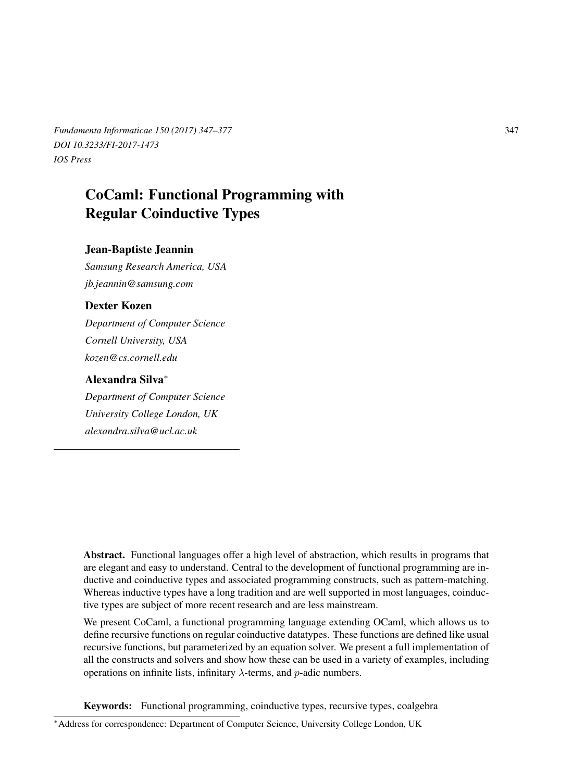*Fundamenta Informaticae 150 (2017) 347–377* 347 *DOI 10.3233/FI-2017-1473 IOS Press*

# CoCaml: Functional Programming with Regular Coinductive Types

## Jean-Baptiste Jeannin

*Samsung Research America, USA jb.jeannin@samsung.com*

## Dexter Kozen

*Department of Computer Science Cornell University, USA kozen@cs.cornell.edu*

## Alexandra Silva<sup>∗</sup>

*Department of Computer Science University College London, UK alexandra.silva@ucl.ac.uk*

Abstract. Functional languages offer a high level of abstraction, which results in programs that are elegant and easy to understand. Central to the development of functional programming are inductive and coinductive types and associated programming constructs, such as pattern-matching. Whereas inductive types have a long tradition and are well supported in most languages, coinductive types are subject of more recent research and are less mainstream.

We present CoCaml, a functional programming language extending OCaml, which allows us to define recursive functions on regular coinductive datatypes. These functions are defined like usual recursive functions, but parameterized by an equation solver. We present a full implementation of all the constructs and solvers and show how these can be used in a variety of examples, including operations on infinite lists, infinitary  $\lambda$ -terms, and p-adic numbers.

Keywords: Functional programming, coinductive types, recursive types, coalgebra

<sup>∗</sup>Address for correspondence: Department of Computer Science, University College London, UK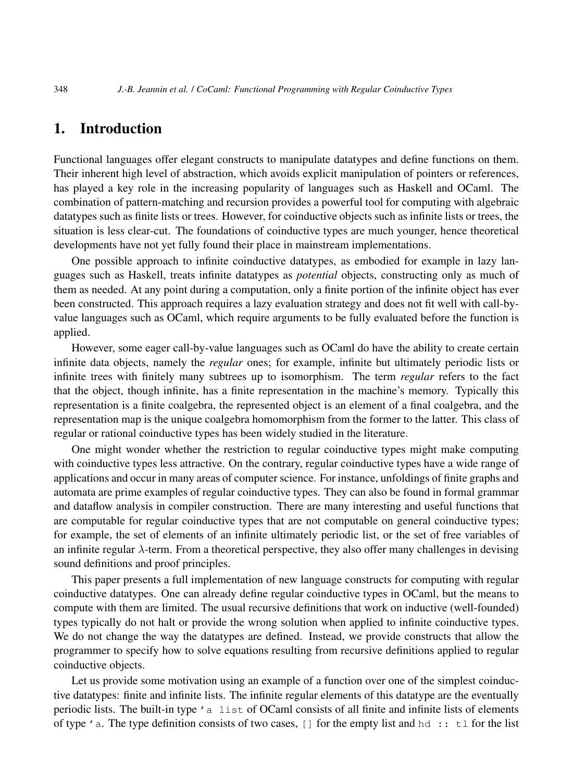# 1. Introduction

Functional languages offer elegant constructs to manipulate datatypes and define functions on them. Their inherent high level of abstraction, which avoids explicit manipulation of pointers or references, has played a key role in the increasing popularity of languages such as Haskell and OCaml. The combination of pattern-matching and recursion provides a powerful tool for computing with algebraic datatypes such as finite lists or trees. However, for coinductive objects such as infinite lists or trees, the situation is less clear-cut. The foundations of coinductive types are much younger, hence theoretical developments have not yet fully found their place in mainstream implementations.

One possible approach to infinite coinductive datatypes, as embodied for example in lazy languages such as Haskell, treats infinite datatypes as *potential* objects, constructing only as much of them as needed. At any point during a computation, only a finite portion of the infinite object has ever been constructed. This approach requires a lazy evaluation strategy and does not fit well with call-byvalue languages such as OCaml, which require arguments to be fully evaluated before the function is applied.

However, some eager call-by-value languages such as OCaml do have the ability to create certain infinite data objects, namely the *regular* ones; for example, infinite but ultimately periodic lists or infinite trees with finitely many subtrees up to isomorphism. The term *regular* refers to the fact that the object, though infinite, has a finite representation in the machine's memory. Typically this representation is a finite coalgebra, the represented object is an element of a final coalgebra, and the representation map is the unique coalgebra homomorphism from the former to the latter. This class of regular or rational coinductive types has been widely studied in the literature.

One might wonder whether the restriction to regular coinductive types might make computing with coinductive types less attractive. On the contrary, regular coinductive types have a wide range of applications and occur in many areas of computer science. For instance, unfoldings of finite graphs and automata are prime examples of regular coinductive types. They can also be found in formal grammar and dataflow analysis in compiler construction. There are many interesting and useful functions that are computable for regular coinductive types that are not computable on general coinductive types; for example, the set of elements of an infinite ultimately periodic list, or the set of free variables of an infinite regular  $\lambda$ -term. From a theoretical perspective, they also offer many challenges in devising sound definitions and proof principles.

This paper presents a full implementation of new language constructs for computing with regular coinductive datatypes. One can already define regular coinductive types in OCaml, but the means to compute with them are limited. The usual recursive definitions that work on inductive (well-founded) types typically do not halt or provide the wrong solution when applied to infinite coinductive types. We do not change the way the datatypes are defined. Instead, we provide constructs that allow the programmer to specify how to solve equations resulting from recursive definitions applied to regular coinductive objects.

Let us provide some motivation using an example of a function over one of the simplest coinductive datatypes: finite and infinite lists. The infinite regular elements of this datatype are the eventually periodic lists. The built-in type 'a list of OCaml consists of all finite and infinite lists of elements of type 'a. The type definition consists of two cases,  $\lceil \cdot \rceil$  for the empty list and hd :: tl for the list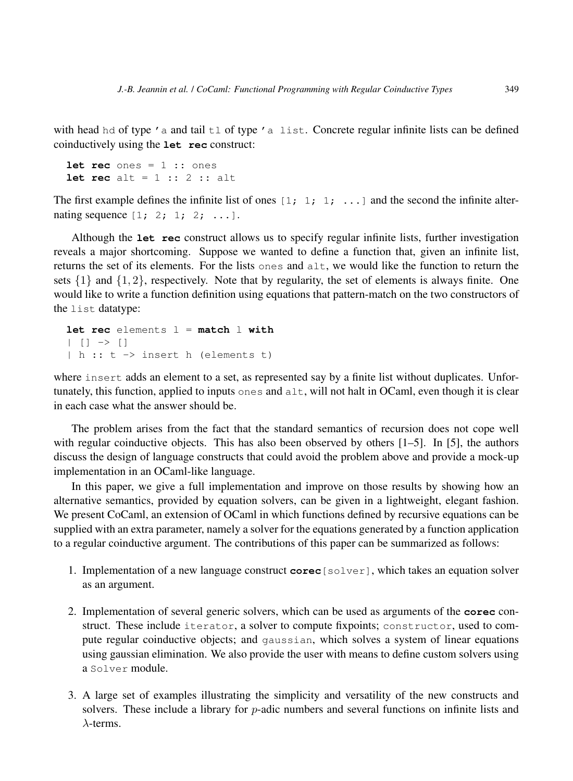with head hd of type  $'$  a and tail  $t \perp$  of type  $'$  a list. Concrete regular infinite lists can be defined coinductively using the **let rec** construct:

```
let rec ones = 1 :: ones
let rec alt = 1 :: 2 :: alt
```
The first example defines the infinite list of ones  $\begin{bmatrix} 1 \\ 1 \\ 1 \\ \end{bmatrix}$  ... and the second the infinite alternating sequence  $[1; 2; 1; 2; \ldots]$ .

Although the **let rec** construct allows us to specify regular infinite lists, further investigation reveals a major shortcoming. Suppose we wanted to define a function that, given an infinite list, returns the set of its elements. For the lists ones and alt, we would like the function to return the sets  $\{1\}$  and  $\{1, 2\}$ , respectively. Note that by regularity, the set of elements is always finite. One would like to write a function definition using equations that pattern-match on the two constructors of the list datatype:

```
let rec elements l = match l with
| | | \rightarrow || h :: t -> insert h (elements t)
```
where insert adds an element to a set, as represented say by a finite list without duplicates. Unfortunately, this function, applied to inputs ones and  $alt$ , will not halt in OCaml, even though it is clear in each case what the answer should be.

The problem arises from the fact that the standard semantics of recursion does not cope well with regular coinductive objects. This has also been observed by others [1–5]. In [5], the authors discuss the design of language constructs that could avoid the problem above and provide a mock-up implementation in an OCaml-like language.

In this paper, we give a full implementation and improve on those results by showing how an alternative semantics, provided by equation solvers, can be given in a lightweight, elegant fashion. We present CoCaml, an extension of OCaml in which functions defined by recursive equations can be supplied with an extra parameter, namely a solver for the equations generated by a function application to a regular coinductive argument. The contributions of this paper can be summarized as follows:

- 1. Implementation of a new language construct **corec**[solver], which takes an equation solver as an argument.
- 2. Implementation of several generic solvers, which can be used as arguments of the **corec** construct. These include iterator, a solver to compute fixpoints; constructor, used to compute regular coinductive objects; and gaussian, which solves a system of linear equations using gaussian elimination. We also provide the user with means to define custom solvers using a Solver module.
- 3. A large set of examples illustrating the simplicity and versatility of the new constructs and solvers. These include a library for *p*-adic numbers and several functions on infinite lists and  $\lambda$ -terms.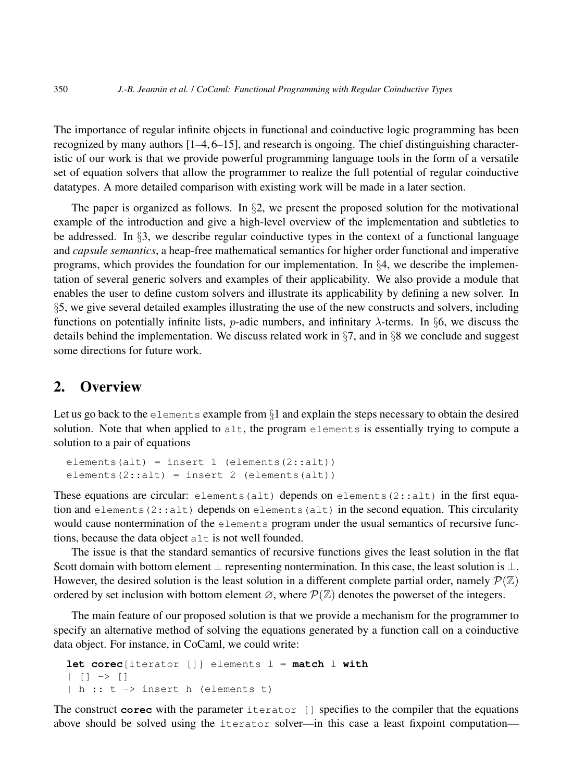The importance of regular infinite objects in functional and coinductive logic programming has been recognized by many authors [1–4, 6–15], and research is ongoing. The chief distinguishing characteristic of our work is that we provide powerful programming language tools in the form of a versatile set of equation solvers that allow the programmer to realize the full potential of regular coinductive datatypes. A more detailed comparison with existing work will be made in a later section.

The paper is organized as follows. In  $\S$ , we present the proposed solution for the motivational example of the introduction and give a high-level overview of the implementation and subtleties to be addressed. In  $\S$ 3, we describe regular coinductive types in the context of a functional language and *capsule semantics*, a heap-free mathematical semantics for higher order functional and imperative programs, which provides the foundation for our implementation. In §4, we describe the implementation of several generic solvers and examples of their applicability. We also provide a module that enables the user to define custom solvers and illustrate its applicability by defining a new solver. In §5, we give several detailed examples illustrating the use of the new constructs and solvers, including functions on potentially infinite lists, *p*-adic numbers, and infinitary  $\lambda$ -terms. In §6, we discuss the details behind the implementation. We discuss related work in  $\S7$ , and in  $\S8$  we conclude and suggest some directions for future work.

## 2. Overview

Let us go back to the elements example from  $\S1$  and explain the steps necessary to obtain the desired solution. Note that when applied to  $alt$ , the program elements is essentially trying to compute a solution to a pair of equations

```
elements(alt) = insert 1 (elements(2::alt))
elements(2::alt) = insert 2 (elements(alt))
```
These equations are circular: elements (alt) depends on elements (2::alt) in the first equation and elements  $(2:ialt)$  depends on elements  $(alt)$  in the second equation. This circularity would cause nontermination of the elements program under the usual semantics of recursive functions, because the data object alt is not well founded.

The issue is that the standard semantics of recursive functions gives the least solution in the flat Scott domain with bottom element  $\bot$  representing nontermination. In this case, the least solution is  $\bot$ . However, the desired solution is the least solution in a different complete partial order, namely  $\mathcal{P}(\mathbb{Z})$ ordered by set inclusion with bottom element  $\varnothing$ , where  $\mathcal{P}(\mathbb{Z})$  denotes the powerset of the integers.

The main feature of our proposed solution is that we provide a mechanism for the programmer to specify an alternative method of solving the equations generated by a function call on a coinductive data object. For instance, in CoCaml, we could write:

```
let corec[iterator []] elements l = match l with
| | | | \rightarrow || h :: t -> insert h (elements t)
```
The construct **corec** with the parameter iterator [] specifies to the compiler that the equations above should be solved using the iterator solver—in this case a least fixpoint computation—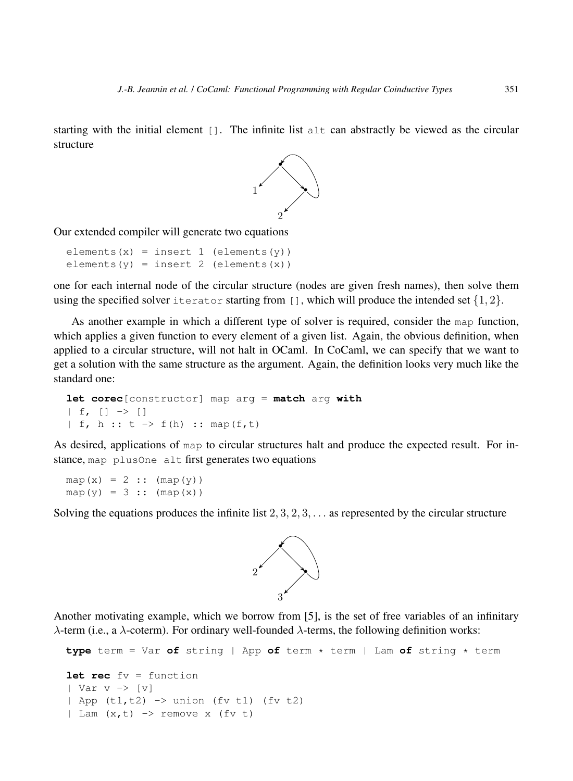starting with the initial element []. The infinite list alt can abstractly be viewed as the circular structure



Our extended compiler will generate two equations

```
elements(x) = insert 1 (elements(y))
elements(y) = insert 2 (elements(x))
```
one for each internal node of the circular structure (nodes are given fresh names), then solve them using the specified solver iterator starting from  $\lbrack$ ], which will produce the intended set  $\{1,2\}$ .

As another example in which a different type of solver is required, consider the map function, which applies a given function to every element of a given list. Again, the obvious definition, when applied to a circular structure, will not halt in OCaml. In CoCaml, we can specify that we want to get a solution with the same structure as the argument. Again, the definition looks very much like the standard one:

```
let corec[constructor] map arg = match arg with
| f, [ ] \rightarrow [ ]| f, h :: t \to f(h) :: map(f,t)
```
As desired, applications of map to circular structures halt and produce the expected result. For instance, map plusOne alt first generates two equations

 $map(x) = 2 :: (map(y))$  $map(y) = 3 :: (map(x))$ 

Solving the equations produces the infinite list  $2, 3, 2, 3, \ldots$  as represented by the circular structure



Another motivating example, which we borrow from [5], is the set of free variables of an infinitary λ-term (i.e., a λ-coterm). For ordinary well-founded λ-terms, the following definition works:

```
type term = Var of string | App of term * term | Lam of string * term
let rec fv = function
| Var v \rightarrow |v|| App (t1,t2) -> union (fv t1) (fv t2)
| Lam (x,t) \rightarrow remove x (fv t)
```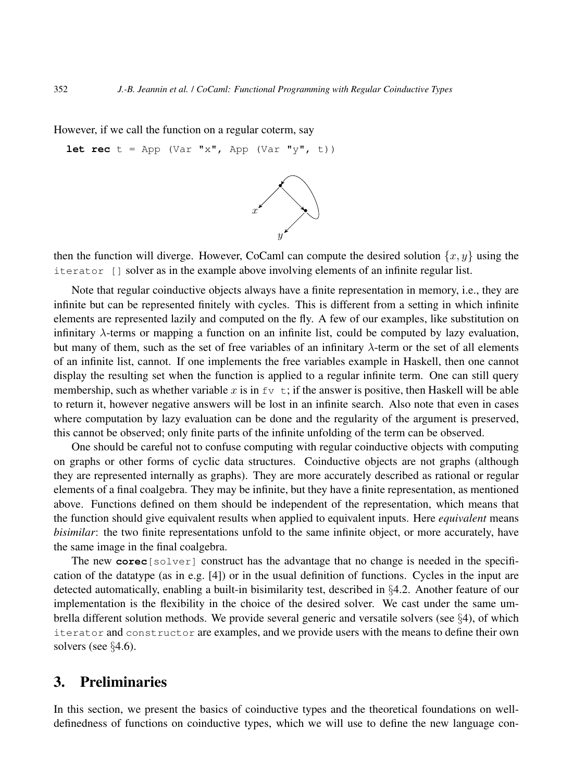However, if we call the function on a regular coterm, say

**let rec**  $t = App (Var "x", App (Var "y", t))$ 



then the function will diverge. However, CoCaml can compute the desired solution  $\{x, y\}$  using the iterator [] solver as in the example above involving elements of an infinite regular list.

Note that regular coinductive objects always have a finite representation in memory, i.e., they are infinite but can be represented finitely with cycles. This is different from a setting in which infinite elements are represented lazily and computed on the fly. A few of our examples, like substitution on infinitary  $\lambda$ -terms or mapping a function on an infinite list, could be computed by lazy evaluation, but many of them, such as the set of free variables of an infinitary  $\lambda$ -term or the set of all elements of an infinite list, cannot. If one implements the free variables example in Haskell, then one cannot display the resulting set when the function is applied to a regular infinite term. One can still query membership, such as whether variable x is in  $f_v$  t; if the answer is positive, then Haskell will be able to return it, however negative answers will be lost in an infinite search. Also note that even in cases where computation by lazy evaluation can be done and the regularity of the argument is preserved, this cannot be observed; only finite parts of the infinite unfolding of the term can be observed.

One should be careful not to confuse computing with regular coinductive objects with computing on graphs or other forms of cyclic data structures. Coinductive objects are not graphs (although they are represented internally as graphs). They are more accurately described as rational or regular elements of a final coalgebra. They may be infinite, but they have a finite representation, as mentioned above. Functions defined on them should be independent of the representation, which means that the function should give equivalent results when applied to equivalent inputs. Here *equivalent* means *bisimilar*: the two finite representations unfold to the same infinite object, or more accurately, have the same image in the final coalgebra.

The new **corec**[solver] construct has the advantage that no change is needed in the specification of the datatype (as in e.g. [4]) or in the usual definition of functions. Cycles in the input are detected automatically, enabling a built-in bisimilarity test, described in §4.2. Another feature of our implementation is the flexibility in the choice of the desired solver. We cast under the same umbrella different solution methods. We provide several generic and versatile solvers (see §4), of which iterator and constructor are examples, and we provide users with the means to define their own solvers (see §4.6).

# 3. Preliminaries

In this section, we present the basics of coinductive types and the theoretical foundations on welldefinedness of functions on coinductive types, which we will use to define the new language con-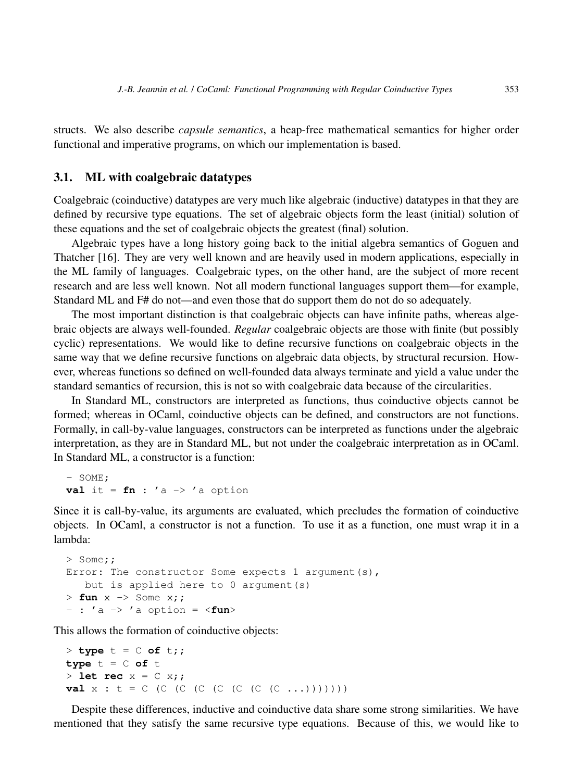structs. We also describe *capsule semantics*, a heap-free mathematical semantics for higher order functional and imperative programs, on which our implementation is based.

#### 3.1. ML with coalgebraic datatypes

Coalgebraic (coinductive) datatypes are very much like algebraic (inductive) datatypes in that they are defined by recursive type equations. The set of algebraic objects form the least (initial) solution of these equations and the set of coalgebraic objects the greatest (final) solution.

Algebraic types have a long history going back to the initial algebra semantics of Goguen and Thatcher [16]. They are very well known and are heavily used in modern applications, especially in the ML family of languages. Coalgebraic types, on the other hand, are the subject of more recent research and are less well known. Not all modern functional languages support them—for example, Standard ML and F# do not—and even those that do support them do not do so adequately.

The most important distinction is that coalgebraic objects can have infinite paths, whereas algebraic objects are always well-founded. *Regular* coalgebraic objects are those with finite (but possibly cyclic) representations. We would like to define recursive functions on coalgebraic objects in the same way that we define recursive functions on algebraic data objects, by structural recursion. However, whereas functions so defined on well-founded data always terminate and yield a value under the standard semantics of recursion, this is not so with coalgebraic data because of the circularities.

In Standard ML, constructors are interpreted as functions, thus coinductive objects cannot be formed; whereas in OCaml, coinductive objects can be defined, and constructors are not functions. Formally, in call-by-value languages, constructors can be interpreted as functions under the algebraic interpretation, as they are in Standard ML, but not under the coalgebraic interpretation as in OCaml. In Standard ML, a constructor is a function:

- SOME; **val** it =  $fn$  : 'a  $\rightarrow$  'a option

Since it is call-by-value, its arguments are evaluated, which precludes the formation of coinductive objects. In OCaml, a constructor is not a function. To use it as a function, one must wrap it in a lambda:

```
> Some;;
Error: The constructor Some expects 1 argument (s),
  but is applied here to 0 argument(s)
> fun x -> Some x;;
- : 'a -> 'a option = <fun>
```
This allows the formation of coinductive objects:

```
> type t = C of t;;
type t = C of t> let rec x = C x;val x : t = C (C (C (C (C (C (C (C \ldots)))))))
```
Despite these differences, inductive and coinductive data share some strong similarities. We have mentioned that they satisfy the same recursive type equations. Because of this, we would like to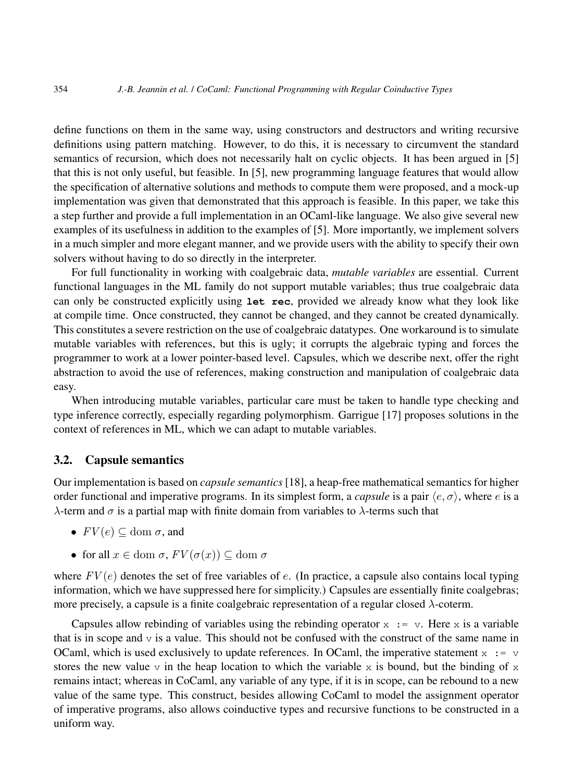define functions on them in the same way, using constructors and destructors and writing recursive definitions using pattern matching. However, to do this, it is necessary to circumvent the standard semantics of recursion, which does not necessarily halt on cyclic objects. It has been argued in [5] that this is not only useful, but feasible. In [5], new programming language features that would allow the specification of alternative solutions and methods to compute them were proposed, and a mock-up implementation was given that demonstrated that this approach is feasible. In this paper, we take this a step further and provide a full implementation in an OCaml-like language. We also give several new examples of its usefulness in addition to the examples of [5]. More importantly, we implement solvers in a much simpler and more elegant manner, and we provide users with the ability to specify their own solvers without having to do so directly in the interpreter.

For full functionality in working with coalgebraic data, *mutable variables* are essential. Current functional languages in the ML family do not support mutable variables; thus true coalgebraic data can only be constructed explicitly using **let rec**, provided we already know what they look like at compile time. Once constructed, they cannot be changed, and they cannot be created dynamically. This constitutes a severe restriction on the use of coalgebraic datatypes. One workaround is to simulate mutable variables with references, but this is ugly; it corrupts the algebraic typing and forces the programmer to work at a lower pointer-based level. Capsules, which we describe next, offer the right abstraction to avoid the use of references, making construction and manipulation of coalgebraic data easy.

When introducing mutable variables, particular care must be taken to handle type checking and type inference correctly, especially regarding polymorphism. Garrigue [17] proposes solutions in the context of references in ML, which we can adapt to mutable variables.

#### 3.2. Capsule semantics

Our implementation is based on *capsule semantics* [18], a heap-free mathematical semantics for higher order functional and imperative programs. In its simplest form, a *capsule* is a pair  $\langle e, \sigma \rangle$ , where e is a λ-term and σ is a partial map with finite domain from variables to λ-terms such that

- $FV(e) \subseteq$  dom  $\sigma$ , and
- for all  $x \in \text{dom }\sigma$ ,  $FV(\sigma(x)) \subseteq \text{dom }\sigma$

where  $FV(e)$  denotes the set of free variables of e. (In practice, a capsule also contains local typing information, which we have suppressed here for simplicity.) Capsules are essentially finite coalgebras; more precisely, a capsule is a finite coalgebraic representation of a regular closed λ-coterm.

Capsules allow rebinding of variables using the rebinding operator  $x := v$ . Here x is a variable that is in scope and  $\nu$  is a value. This should not be confused with the construct of the same name in OCaml, which is used exclusively to update references. In OCaml, the imperative statement  $x := v$ stores the new value  $\nu$  in the heap location to which the variable x is bound, but the binding of x remains intact; whereas in CoCaml, any variable of any type, if it is in scope, can be rebound to a new value of the same type. This construct, besides allowing CoCaml to model the assignment operator of imperative programs, also allows coinductive types and recursive functions to be constructed in a uniform way.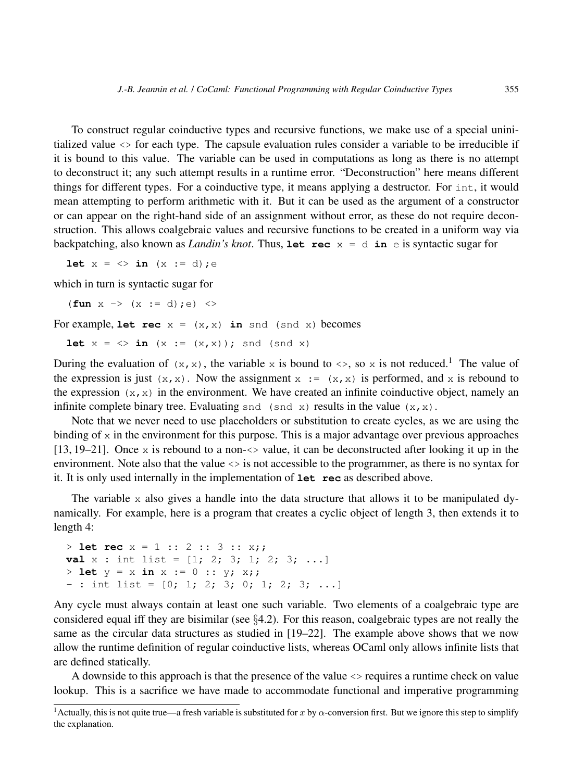To construct regular coinductive types and recursive functions, we make use of a special uninitialized value <> for each type. The capsule evaluation rules consider a variable to be irreducible if it is bound to this value. The variable can be used in computations as long as there is no attempt to deconstruct it; any such attempt results in a runtime error. "Deconstruction" here means different things for different types. For a coinductive type, it means applying a destructor. For int, it would mean attempting to perform arithmetic with it. But it can be used as the argument of a constructor or can appear on the right-hand side of an assignment without error, as these do not require deconstruction. This allows coalgebraic values and recursive functions to be created in a uniform way via backpatching, also known as *Landin's knot*. Thus, **let rec**  $x = d$  **in**  $e$  is syntactic sugar for

**let**  $x = \langle \rangle$  **in**  $(x := d)$ ; e

which in turn is syntactic sugar for

 $(\textbf{fun } x \rightarrow (x := d); e) \iff$ 

For example, **let rec**  $x = (x, x)$  **in** snd (snd x) becomes

**let**  $x = \langle \rangle$  **in**  $(x := (x, x))$ ; snd (snd x)

During the evaluation of  $(x, x)$ , the variable x is bound to  $\langle x, \rho \rangle$ , so x is not reduced.<sup>1</sup> The value of the expression is just  $(x, x)$ . Now the assignment  $x := (x, x)$  is performed, and x is rebound to the expression  $(x, x)$  in the environment. We have created an infinite coinductive object, namely an infinite complete binary tree. Evaluating snd (snd x) results in the value  $(x, x)$ .

Note that we never need to use placeholders or substitution to create cycles, as we are using the binding of  $x$  in the environment for this purpose. This is a major advantage over previous approaches [13, 19–21]. Once x is rebound to a non- $\lt\gt$  value, it can be deconstructed after looking it up in the environment. Note also that the value <> is not accessible to the programmer, as there is no syntax for it. It is only used internally in the implementation of **let rec** as described above.

The variable  $x$  also gives a handle into the data structure that allows it to be manipulated dynamically. For example, here is a program that creates a cyclic object of length 3, then extends it to length 4:

```
> let rec x = 1 :: 2 :: 3 :: x;;
val x : int list = [1; 2; 3; 1; 2; 3; ...]> let y = x in x := 0 :: y; x;;
- : int list = [0; 1; 2; 3; 0; 1; 2; 3; ...]
```
Any cycle must always contain at least one such variable. Two elements of a coalgebraic type are considered equal iff they are bisimilar (see  $\S 4.2$ ). For this reason, coalgebraic types are not really the same as the circular data structures as studied in [19–22]. The example above shows that we now allow the runtime definition of regular coinductive lists, whereas OCaml only allows infinite lists that are defined statically.

A downside to this approach is that the presence of the value <> requires a runtime check on value lookup. This is a sacrifice we have made to accommodate functional and imperative programming

<sup>&</sup>lt;sup>1</sup> Actually, this is not quite true—a fresh variable is substituted for x by  $\alpha$ -conversion first. But we ignore this step to simplify the explanation.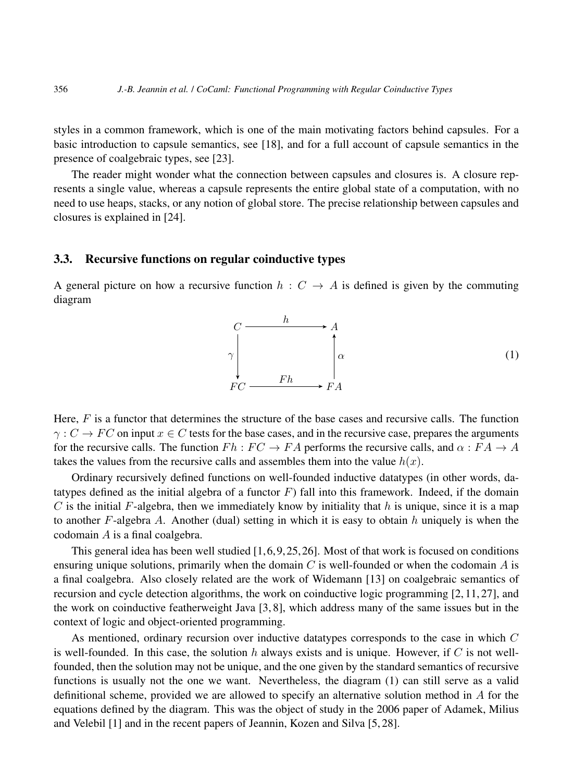styles in a common framework, which is one of the main motivating factors behind capsules. For a basic introduction to capsule semantics, see [18], and for a full account of capsule semantics in the presence of coalgebraic types, see [23].

The reader might wonder what the connection between capsules and closures is. A closure represents a single value, whereas a capsule represents the entire global state of a computation, with no need to use heaps, stacks, or any notion of global store. The precise relationship between capsules and closures is explained in [24].

## 3.3. Recursive functions on regular coinductive types

A general picture on how a recursive function  $h : C \rightarrow A$  is defined is given by the commuting diagram



Here,  $F$  is a functor that determines the structure of the base cases and recursive calls. The function  $\gamma: C \to FC$  on input  $x \in C$  tests for the base cases, and in the recursive case, prepares the arguments for the recursive calls. The function  $Fh : FC \to FA$  performs the recursive calls, and  $\alpha : FA \to A$ takes the values from the recursive calls and assembles them into the value  $h(x)$ .

Ordinary recursively defined functions on well-founded inductive datatypes (in other words, datatypes defined as the initial algebra of a functor  $F$ ) fall into this framework. Indeed, if the domain C is the initial F-algebra, then we immediately know by initiality that  $h$  is unique, since it is a map to another  $F$ -algebra  $A$ . Another (dual) setting in which it is easy to obtain  $h$  uniquely is when the codomain A is a final coalgebra.

This general idea has been well studied  $[1, 6, 9, 25, 26]$ . Most of that work is focused on conditions ensuring unique solutions, primarily when the domain  $C$  is well-founded or when the codomain  $A$  is a final coalgebra. Also closely related are the work of Widemann [13] on coalgebraic semantics of recursion and cycle detection algorithms, the work on coinductive logic programming [2, 11, 27], and the work on coinductive featherweight Java [3, 8], which address many of the same issues but in the context of logic and object-oriented programming.

As mentioned, ordinary recursion over inductive datatypes corresponds to the case in which C is well-founded. In this case, the solution h always exists and is unique. However, if C is not wellfounded, then the solution may not be unique, and the one given by the standard semantics of recursive functions is usually not the one we want. Nevertheless, the diagram (1) can still serve as a valid definitional scheme, provided we are allowed to specify an alternative solution method in A for the equations defined by the diagram. This was the object of study in the 2006 paper of Adamek, Milius and Velebil [1] and in the recent papers of Jeannin, Kozen and Silva [5, 28].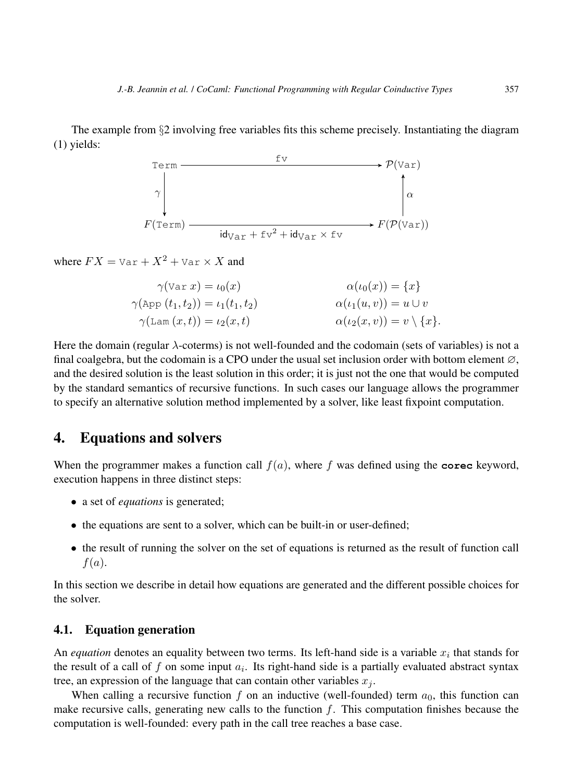The example from §2 involving free variables fits this scheme precisely. Instantiating the diagram (1) yields:



where  $FX = \text{Var} + X^2 + \text{Var} \times X$  and

$$
\gamma(\text{Var } x) = \iota_0(x) \qquad \alpha(\iota_0(x)) = \{x\}
$$
  
\n
$$
\gamma(\text{App } (t_1, t_2)) = \iota_1(t_1, t_2) \qquad \alpha(\iota_1(u, v)) = u \cup v
$$
  
\n
$$
\gamma(\text{Lam } (x, t)) = \iota_2(x, t) \qquad \alpha(\iota_2(x, v)) = v \setminus \{x\}.
$$

Here the domain (regular  $\lambda$ -coterms) is not well-founded and the codomain (sets of variables) is not a final coalgebra, but the codomain is a CPO under the usual set inclusion order with bottom element  $\varnothing$ , and the desired solution is the least solution in this order; it is just not the one that would be computed by the standard semantics of recursive functions. In such cases our language allows the programmer to specify an alternative solution method implemented by a solver, like least fixpoint computation.

# 4. Equations and solvers

When the programmer makes a function call  $f(a)$ , where f was defined using the **corec** keyword, execution happens in three distinct steps:

- a set of *equations* is generated;
- the equations are sent to a solver, which can be built-in or user-defined;
- the result of running the solver on the set of equations is returned as the result of function call  $f(a)$ .

In this section we describe in detail how equations are generated and the different possible choices for the solver.

#### 4.1. Equation generation

An *equation* denotes an equality between two terms. Its left-hand side is a variable  $x_i$  that stands for the result of a call of f on some input  $a_i$ . Its right-hand side is a partially evaluated abstract syntax tree, an expression of the language that can contain other variables  $x_j$ .

When calling a recursive function f on an inductive (well-founded) term  $a_0$ , this function can make recursive calls, generating new calls to the function  $f$ . This computation finishes because the computation is well-founded: every path in the call tree reaches a base case.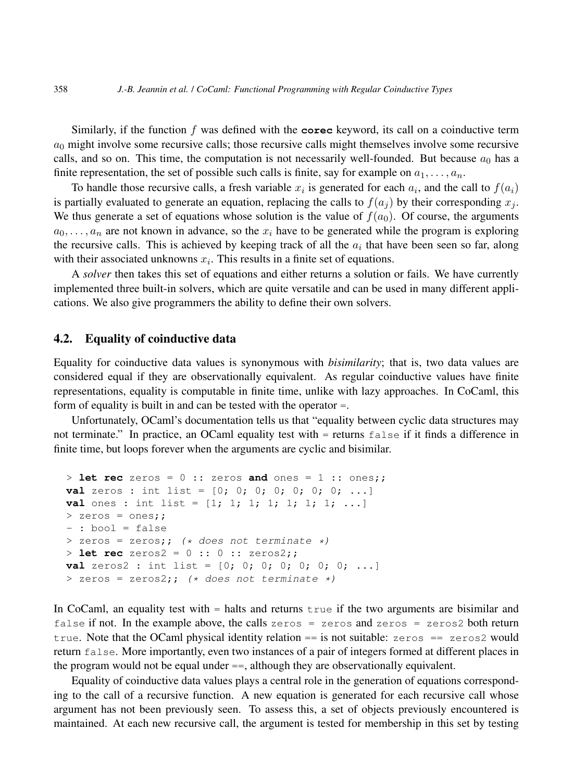Similarly, if the function f was defined with the **corec** keyword, its call on a coinductive term  $a_0$  might involve some recursive calls; those recursive calls might themselves involve some recursive calls, and so on. This time, the computation is not necessarily well-founded. But because  $a_0$  has a finite representation, the set of possible such calls is finite, say for example on  $a_1, \ldots, a_n$ .

To handle those recursive calls, a fresh variable  $x_i$  is generated for each  $a_i$ , and the call to  $f(a_i)$ is partially evaluated to generate an equation, replacing the calls to  $f(a_i)$  by their corresponding  $x_i$ . We thus generate a set of equations whose solution is the value of  $f(a_0)$ . Of course, the arguments  $a_0, \ldots, a_n$  are not known in advance, so the  $x_i$  have to be generated while the program is exploring the recursive calls. This is achieved by keeping track of all the  $a_i$  that have been seen so far, along with their associated unknowns  $x_i$ . This results in a finite set of equations.

A *solver* then takes this set of equations and either returns a solution or fails. We have currently implemented three built-in solvers, which are quite versatile and can be used in many different applications. We also give programmers the ability to define their own solvers.

#### 4.2. Equality of coinductive data

Equality for coinductive data values is synonymous with *bisimilarity*; that is, two data values are considered equal if they are observationally equivalent. As regular coinductive values have finite representations, equality is computable in finite time, unlike with lazy approaches. In CoCaml, this form of equality is built in and can be tested with the operator =.

Unfortunately, OCaml's documentation tells us that "equality between cyclic data structures may not terminate." In practice, an OCaml equality test with = returns false if it finds a difference in finite time, but loops forever when the arguments are cyclic and bisimilar.

```
> let rec zeros = 0 :: zeros and ones = 1 :: ones;;
val zeros : int list = [0; 0; 0; 0; 0; 0; 0; \ldots]val ones : int list = [1; 1; 1; 1; 1; 1; 1; ...]> zeros = ones;;
- : bool = false
> zeros = zeros;; (* does not terminate *)
> let rec zeros2 = 0 :: 0 :: zeros2;;
val zeros2 : int list = [0; 0; 0; 0; 0; 0; 0; ...]
> zeros = zeros2;; (* does not terminate *)
```
In CoCaml, an equality test with  $=$  halts and returns true if the two arguments are bisimilar and false if not. In the example above, the calls zeros = zeros and zeros = zeros2 both return true. Note that the OCaml physical identity relation  $==$  is not suitable: zeros  $==$  zeros2 would return false. More importantly, even two instances of a pair of integers formed at different places in the program would not be equal under ==, although they are observationally equivalent.

Equality of coinductive data values plays a central role in the generation of equations corresponding to the call of a recursive function. A new equation is generated for each recursive call whose argument has not been previously seen. To assess this, a set of objects previously encountered is maintained. At each new recursive call, the argument is tested for membership in this set by testing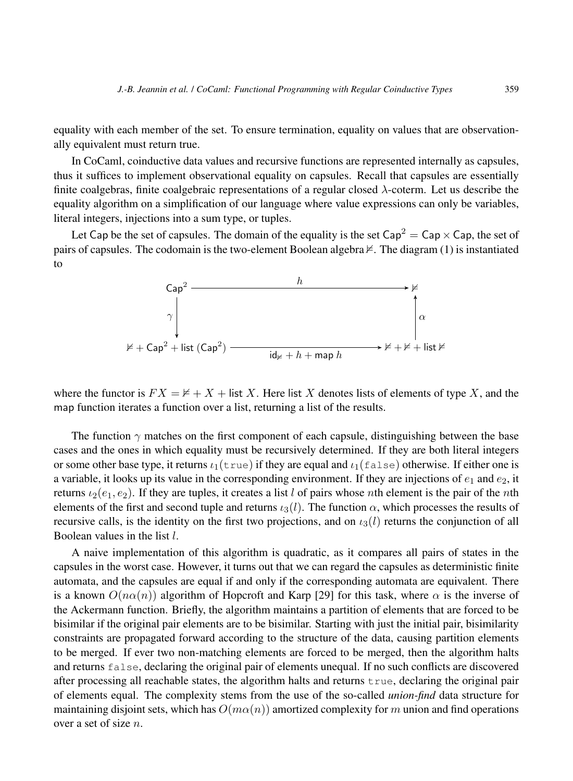equality with each member of the set. To ensure termination, equality on values that are observationally equivalent must return true.

In CoCaml, coinductive data values and recursive functions are represented internally as capsules, thus it suffices to implement observational equality on capsules. Recall that capsules are essentially finite coalgebras, finite coalgebraic representations of a regular closed  $\lambda$ -coterm. Let us describe the equality algorithm on a simplification of our language where value expressions can only be variables, literal integers, injections into a sum type, or tuples.

Let Cap be the set of capsules. The domain of the equality is the set Cap<sup>2</sup> = Cap  $\times$  Cap, the set of pairs of capsules. The codomain is the two-element Boolean algebra  $\nvdash$ . The diagram (1) is instantiated to



where the functor is  $FX = \nless + X + \text{list } X$ . Here list X denotes lists of elements of type X, and the map function iterates a function over a list, returning a list of the results.

The function  $\gamma$  matches on the first component of each capsule, distinguishing between the base cases and the ones in which equality must be recursively determined. If they are both literal integers or some other base type, it returns  $\iota_1(\text{true})$  if they are equal and  $\iota_1(\text{false})$  otherwise. If either one is a variable, it looks up its value in the corresponding environment. If they are injections of  $e_1$  and  $e_2$ , it returns  $\iota_2(e_1, e_2)$ . If they are tuples, it creates a list l of pairs whose nth element is the pair of the nth elements of the first and second tuple and returns  $\iota_3(l)$ . The function  $\alpha$ , which processes the results of recursive calls, is the identity on the first two projections, and on  $\iota_3(l)$  returns the conjunction of all Boolean values in the list l.

A naive implementation of this algorithm is quadratic, as it compares all pairs of states in the capsules in the worst case. However, it turns out that we can regard the capsules as deterministic finite automata, and the capsules are equal if and only if the corresponding automata are equivalent. There is a known  $O(n\alpha(n))$  algorithm of Hopcroft and Karp [29] for this task, where  $\alpha$  is the inverse of the Ackermann function. Briefly, the algorithm maintains a partition of elements that are forced to be bisimilar if the original pair elements are to be bisimilar. Starting with just the initial pair, bisimilarity constraints are propagated forward according to the structure of the data, causing partition elements to be merged. If ever two non-matching elements are forced to be merged, then the algorithm halts and returns false, declaring the original pair of elements unequal. If no such conflicts are discovered after processing all reachable states, the algorithm halts and returns true, declaring the original pair of elements equal. The complexity stems from the use of the so-called *union-find* data structure for maintaining disjoint sets, which has  $O(m\alpha(n))$  amortized complexity for m union and find operations over a set of size n.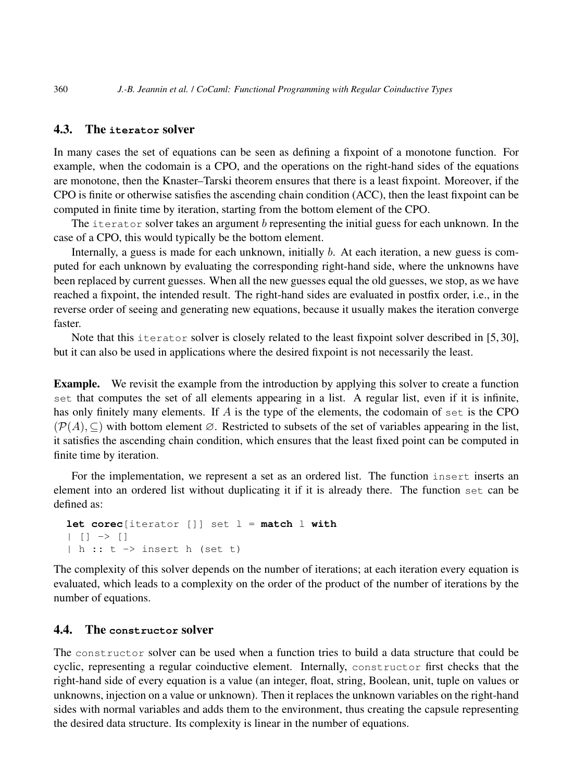## 4.3. The **iterator** solver

In many cases the set of equations can be seen as defining a fixpoint of a monotone function. For example, when the codomain is a CPO, and the operations on the right-hand sides of the equations are monotone, then the Knaster–Tarski theorem ensures that there is a least fixpoint. Moreover, if the CPO is finite or otherwise satisfies the ascending chain condition (ACC), then the least fixpoint can be computed in finite time by iteration, starting from the bottom element of the CPO.

The iterator solver takes an argument b representing the initial guess for each unknown. In the case of a CPO, this would typically be the bottom element.

Internally, a guess is made for each unknown, initially b. At each iteration, a new guess is computed for each unknown by evaluating the corresponding right-hand side, where the unknowns have been replaced by current guesses. When all the new guesses equal the old guesses, we stop, as we have reached a fixpoint, the intended result. The right-hand sides are evaluated in postfix order, i.e., in the reverse order of seeing and generating new equations, because it usually makes the iteration converge faster.

Note that this iterator solver is closely related to the least fixpoint solver described in [5,30]. but it can also be used in applications where the desired fixpoint is not necessarily the least.

Example. We revisit the example from the introduction by applying this solver to create a function set that computes the set of all elements appearing in a list. A regular list, even if it is infinite, has only finitely many elements. If A is the type of the elements, the codomain of set is the CPO  $(\mathcal{P}(A), \subseteq)$  with bottom element  $\emptyset$ . Restricted to subsets of the set of variables appearing in the list, it satisfies the ascending chain condition, which ensures that the least fixed point can be computed in finite time by iteration.

For the implementation, we represent a set as an ordered list. The function insert inserts an element into an ordered list without duplicating it if it is already there. The function set can be defined as:

```
let corec[iterator []] set l = match l with
| | | \rightarrow || h :: t \rightarrow insert h (set t)
```
The complexity of this solver depends on the number of iterations; at each iteration every equation is evaluated, which leads to a complexity on the order of the product of the number of iterations by the number of equations.

## 4.4. The **constructor** solver

The constructor solver can be used when a function tries to build a data structure that could be cyclic, representing a regular coinductive element. Internally, constructor first checks that the right-hand side of every equation is a value (an integer, float, string, Boolean, unit, tuple on values or unknowns, injection on a value or unknown). Then it replaces the unknown variables on the right-hand sides with normal variables and adds them to the environment, thus creating the capsule representing the desired data structure. Its complexity is linear in the number of equations.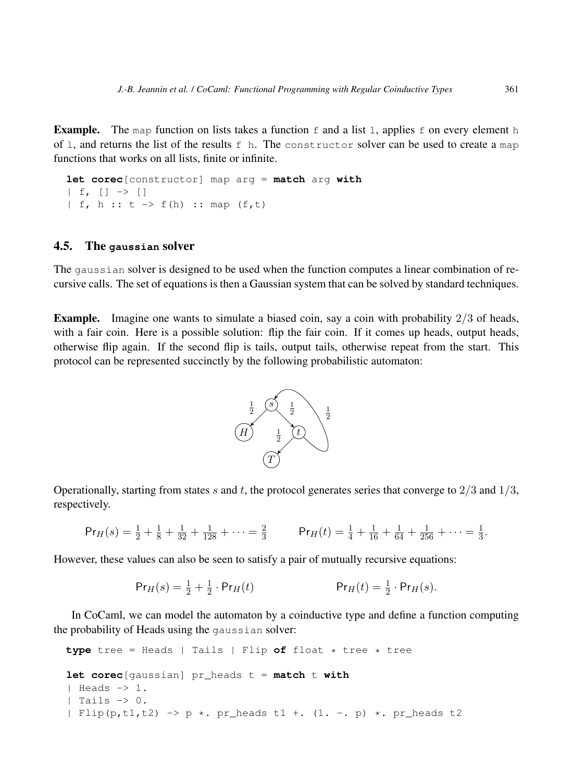**Example.** The map function on lists takes a function  $f$  and a list 1, applies  $f$  on every element h of 1, and returns the list of the results  $f$  h. The constructor solver can be used to create a map functions that works on all lists, finite or infinite.

**let corec**[constructor] map arg = **match** arg **with**  $| f, [ ] \rightarrow [ ]$ | f, h ::  $t \rightarrow f(h)$  :: map  $(f,t)$ 

### 4.5. The **gaussian** solver

The gaussian solver is designed to be used when the function computes a linear combination of recursive calls. The set of equations is then a Gaussian system that can be solved by standard techniques.

**Example.** Imagine one wants to simulate a biased coin, say a coin with probability  $2/3$  of heads, with a fair coin. Here is a possible solution: flip the fair coin. If it comes up heads, output heads, otherwise flip again. If the second flip is tails, output tails, otherwise repeat from the start. This protocol can be represented succinctly by the following probabilistic automaton:



Operationally, starting from states s and t, the protocol generates series that converge to  $2/3$  and  $1/3$ , respectively.

$$
\Pr_H(s) = \frac{1}{2} + \frac{1}{8} + \frac{1}{32} + \frac{1}{128} + \dots = \frac{2}{3} \qquad \Pr_H(t) = \frac{1}{4} + \frac{1}{16} + \frac{1}{64} + \frac{1}{256} + \dots = \frac{1}{3}.
$$

However, these values can also be seen to satisfy a pair of mutually recursive equations:

$$
\Pr_H(s) = \frac{1}{2} + \frac{1}{2} \cdot \Pr_H(t) \qquad \Pr_H(t) = \frac{1}{2} \cdot \Pr_H(s).
$$

In CoCaml, we can model the automaton by a coinductive type and define a function computing the probability of Heads using the gaussian solver:

```
type tree = Heads | Tails | Flip of float * tree * tree
let corec[gaussian] pr_heads t = match t with
| Heads \rightarrow 1.
| Tails -> 0.
| Flip(p,t1,t2) -> p *. pr_heads t1 +. (1. -. p) *. pr_heads t2
```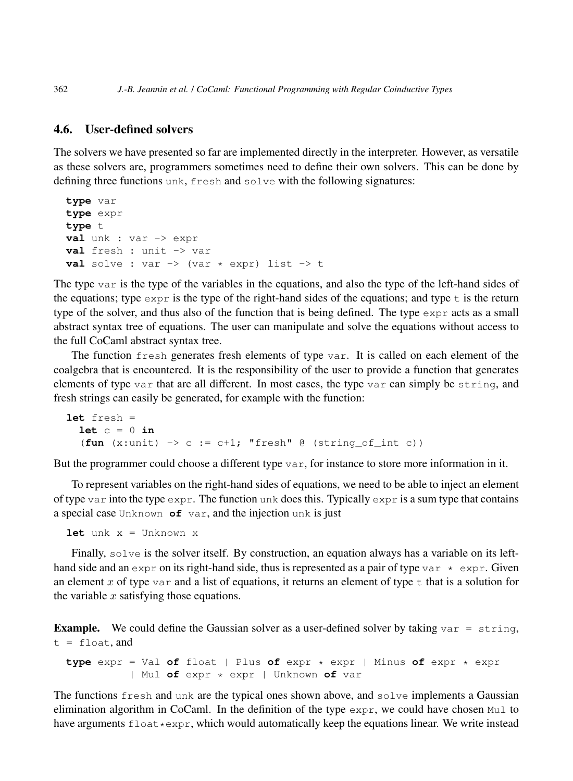## 4.6. User-defined solvers

The solvers we have presented so far are implemented directly in the interpreter. However, as versatile as these solvers are, programmers sometimes need to define their own solvers. This can be done by defining three functions unk, fresh and solve with the following signatures:

```
type var
type expr
type t
val unk : var -> expr
val fresh : unit -> var
val solve : var \rightarrow (var * expr) list \rightarrow t
```
The type var is the type of the variables in the equations, and also the type of the left-hand sides of the equations; type  $\epsilon_{\text{XPT}}$  is the type of the right-hand sides of the equations; and type t is the return type of the solver, and thus also of the function that is being defined. The type  $\exp r$  acts as a small abstract syntax tree of equations. The user can manipulate and solve the equations without access to the full CoCaml abstract syntax tree.

The function fresh generates fresh elements of type var. It is called on each element of the coalgebra that is encountered. It is the responsibility of the user to provide a function that generates elements of type var that are all different. In most cases, the type var can simply be string, and fresh strings can easily be generated, for example with the function:

```
let fresh =
  let c = 0 in(fun (x:unit) \rightarrow c := c+1; "fresh" @ (string_of(int c))
```
But the programmer could choose a different type  $var$ , for instance to store more information in it.

To represent variables on the right-hand sides of equations, we need to be able to inject an element of type var into the type  $\exp r$ . The function unk does this. Typically  $\exp r$  is a sum type that contains a special case Unknown **of** var, and the injection unk is just

**let** unk x = Unknown x

Finally, solve is the solver itself. By construction, an equation always has a variable on its lefthand side and an expr on its right-hand side, thus is represented as a pair of type var  $\star$  expr. Given an element x of type var and a list of equations, it returns an element of type  $\pm$  that is a solution for the variable  $x$  satisfying those equations.

**Example.** We could define the Gaussian solver as a user-defined solver by taking  $var = string$ ,  $t = f$ loat, and

**type** expr = Val **of** float | Plus **of** expr \* expr | Minus **of** expr \* expr | Mul **of** expr \* expr | Unknown **of** var

The functions fresh and unk are the typical ones shown above, and solve implements a Gaussian elimination algorithm in CoCaml. In the definition of the type  $\exp r$ , we could have chosen Mul to have arguments  $f$ loat  $*$ expr, which would automatically keep the equations linear. We write instead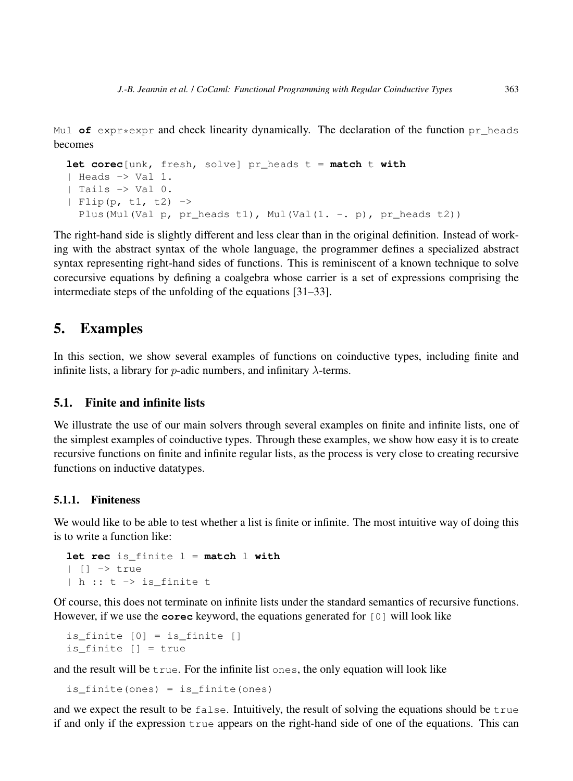Mul  $\sigma f$  expr $\star$ expr and check linearity dynamically. The declaration of the function pr\_heads becomes

```
let corec[unk, fresh, solve] pr_heads t = match t with
| Heads -> Val 1.
| Tails -> Val 0.
| Flip(p, t1, t2) \rightarrowPlus(Mul(Val p, pr_heads t1), Mul(Val(1. -. p), pr_heads t2))
```
The right-hand side is slightly different and less clear than in the original definition. Instead of working with the abstract syntax of the whole language, the programmer defines a specialized abstract syntax representing right-hand sides of functions. This is reminiscent of a known technique to solve corecursive equations by defining a coalgebra whose carrier is a set of expressions comprising the intermediate steps of the unfolding of the equations [31–33].

# 5. Examples

In this section, we show several examples of functions on coinductive types, including finite and infinite lists, a library for *p*-adic numbers, and infinitary  $\lambda$ -terms.

## 5.1. Finite and infinite lists

We illustrate the use of our main solvers through several examples on finite and infinite lists, one of the simplest examples of coinductive types. Through these examples, we show how easy it is to create recursive functions on finite and infinite regular lists, as the process is very close to creating recursive functions on inductive datatypes.

#### 5.1.1. Finiteness

We would like to be able to test whether a list is finite or infinite. The most intuitive way of doing this is to write a function like:

```
let rec is_finite l = match l with
| [] -> true
| h :: t -> is_finite t
```
Of course, this does not terminate on infinite lists under the standard semantics of recursive functions. However, if we use the **corec** keyword, the equations generated for [0] will look like

```
is_finite [0] = is_finite []
is_finite [] = true
```
and the result will be true. For the infinite list ones, the only equation will look like

```
is_finite(ones) = is_finite(ones)
```
and we expect the result to be false. Intuitively, the result of solving the equations should be true if and only if the expression true appears on the right-hand side of one of the equations. This can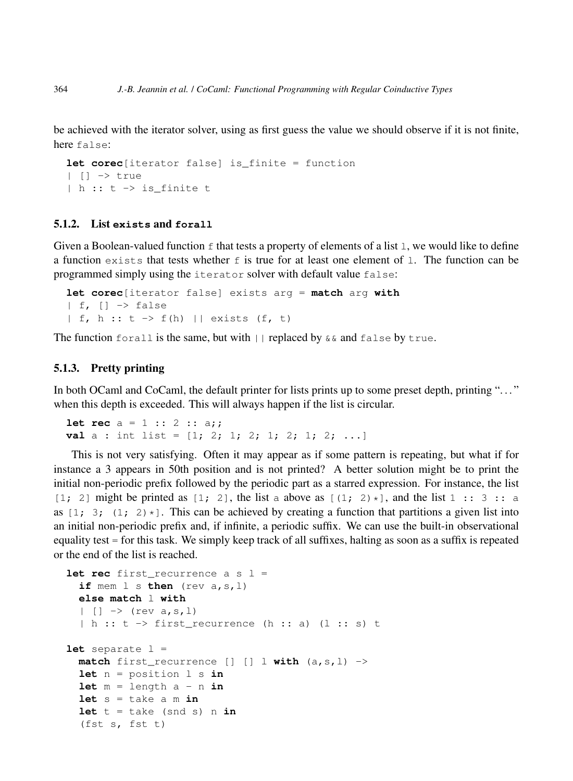be achieved with the iterator solver, using as first guess the value we should observe if it is not finite, here false:

```
let corec[iterator false] is_finite = function
| [] -> true
| h :: t -> is_finite t
```
#### 5.1.2. List **exists** and **forall**

Given a Boolean-valued function  $\epsilon$  that tests a property of elements of a list 1, we would like to define a function exists that tests whether  $f$  is true for at least one element of 1. The function can be programmed simply using the iterator solver with default value false:

```
let corec[iterator false] exists arg = match arg with
| f, | | \rightarrow false
| f, h :: t \rightarrow f(h) || exists (f, t)
```
The function forall is the same, but with  $||$  replaced by  $\&\&$  and false by true.

#### 5.1.3. Pretty printing

In both OCaml and CoCaml, the default printer for lists prints up to some preset depth, printing "..." when this depth is exceeded. This will always happen if the list is circular.

**let rec**  $a = 1 :: 2 :: a;$ **val** a : int list =  $[1; 2; 1; 2; 1; 2; 1; 2; ...]$ 

This is not very satisfying. Often it may appear as if some pattern is repeating, but what if for instance a 3 appears in 50th position and is not printed? A better solution might be to print the initial non-periodic prefix followed by the periodic part as a starred expression. For instance, the list [1; 2] might be printed as [1; 2], the list a above as  $[(1; 2)*]$ , and the list 1 :: 3 :: a as  $[1; 3; (1; 2) \star]$ . This can be achieved by creating a function that partitions a given list into an initial non-periodic prefix and, if infinite, a periodic suffix. We can use the built-in observational equality test = for this task. We simply keep track of all suffixes, halting as soon as a suffix is repeated or the end of the list is reached.

```
let rec first recurrence a s l =
  if mem l s then (rev a,s,l)
  else match l with
  | [] -> (rev a, s, l)
  |h :: t \rightarrow first_recurrence (h :: a) (l :: s) tlet separate l =
  match first_recurrence [] [] | with (a, s, l) \rightarrowlet n = position l s in
  let m = length a - n in
  let s = take a m in
  let t = take (snd s) n in(fst s, fst t)
```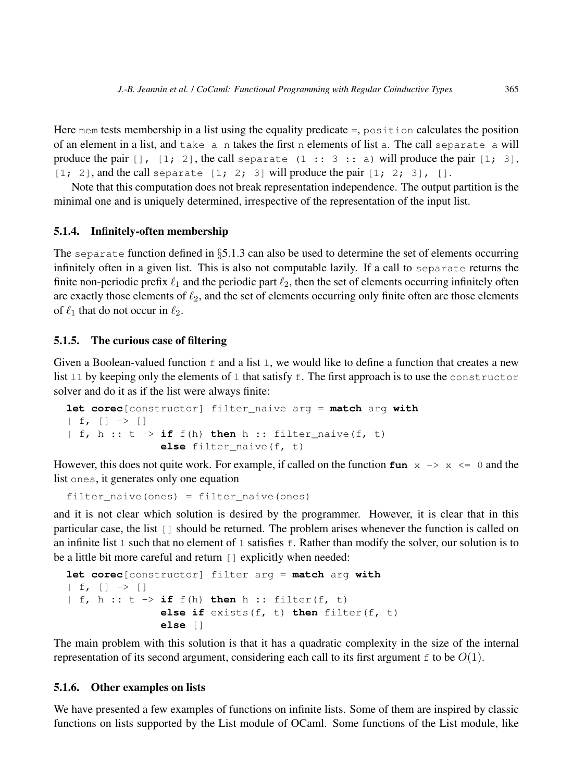Here mem tests membership in a list using the equality predicate =, position calculates the position of an element in a list, and take a n takes the first n elements of list a. The call separate a will produce the pair  $[1, 2]$ , the call separate  $(1 : 3 : 3 : 1)$  will produce the pair  $[1; 3]$ ,  $[1; 2]$ , and the call separate  $[1; 2; 3]$  will produce the pair  $[1; 2; 3]$ ,  $[1; 2]$ 

Note that this computation does not break representation independence. The output partition is the minimal one and is uniquely determined, irrespective of the representation of the input list.

### 5.1.4. Infinitely-often membership

The separate function defined in  $\S5.1.3$  can also be used to determine the set of elements occurring infinitely often in a given list. This is also not computable lazily. If a call to separate returns the finite non-periodic prefix  $\ell_1$  and the periodic part  $\ell_2$ , then the set of elements occurring infinitely often are exactly those elements of  $\ell_2$ , and the set of elements occurring only finite often are those elements of  $\ell_1$  that do not occur in  $\ell_2$ .

#### 5.1.5. The curious case of filtering

Given a Boolean-valued function  $f$  and a list  $l$ , we would like to define a function that creates a new list 11 by keeping only the elements of 1 that satisfy f. The first approach is to use the constructor solver and do it as if the list were always finite:

```
let corec[constructor] filter_naive arg = match arg with
| f, [ ] \rightarrow [ ]| f, h :: t \rightarrow \textbf{if } f(h) \textbf{ then } h :: \textbf{filter naive}(f, t)else filter_naive(f, t)
```
However, this does not quite work. For example, if called on the function  $\text{fun } x \rightarrow x \leq 0$  and the list ones, it generates only one equation

filter  $naive(ones) = filter naive(ones)$ 

and it is not clear which solution is desired by the programmer. However, it is clear that in this particular case, the list [] should be returned. The problem arises whenever the function is called on an infinite list 1 such that no element of 1 satisfies  $\epsilon$ . Rather than modify the solver, our solution is to be a little bit more careful and return [] explicitly when needed:

```
let corec[constructor] filter arg = match arg with
| f, [ ] \rightarrow [ ]| f, h :: t \rightarrow \textbf{if } f(h) \textbf{ then } h :: \textbf{filter}(f, t)else if exists(f, t) then filter(f, t)
                   else []
```
The main problem with this solution is that it has a quadratic complexity in the size of the internal representation of its second argument, considering each call to its first argument  $\epsilon$  to be  $O(1)$ .

#### 5.1.6. Other examples on lists

We have presented a few examples of functions on infinite lists. Some of them are inspired by classic functions on lists supported by the List module of OCaml. Some functions of the List module, like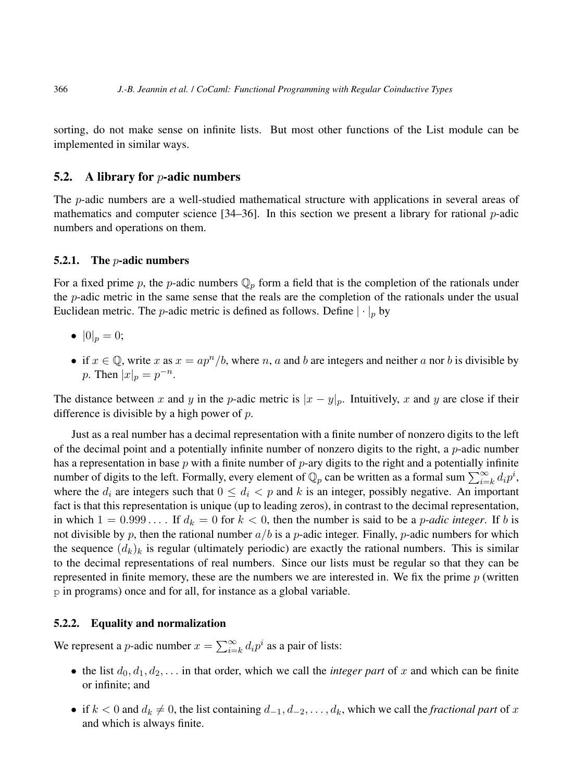366 *J.-B. Jeannin et al.* / *CoCaml: Functional Programming with Regular Coinductive Types*

sorting, do not make sense on infinite lists. But most other functions of the List module can be implemented in similar ways.

### 5.2. A library for  $p$ -adic numbers

The *p*-adic numbers are a well-studied mathematical structure with applications in several areas of mathematics and computer science  $[34–36]$ . In this section we present a library for rational p-adic numbers and operations on them.

#### 5.2.1. The  $p$ -adic numbers

For a fixed prime p, the p-adic numbers  $\mathbb{Q}_p$  form a field that is the completion of the rationals under the  $p$ -adic metric in the same sense that the reals are the completion of the rationals under the usual Euclidean metric. The *p*-adic metric is defined as follows. Define  $|\cdot|_p$  by

- $|0|_p = 0;$
- if  $x \in \mathbb{Q}$ , write x as  $x = ap^n/b$ , where n, a and b are integers and neither a nor b is divisible by p. Then  $|x|_p = p^{-n}$ .

The distance between x and y in the p-adic metric is  $|x - y|_p$ . Intuitively, x and y are close if their difference is divisible by a high power of  $p$ .

Just as a real number has a decimal representation with a finite number of nonzero digits to the left of the decimal point and a potentially infinite number of nonzero digits to the right, a p-adic number has a representation in base p with a finite number of p-ary digits to the right and a potentially infinite number of digits to the left. Formally, every element of  $\mathbb{Q}_p$  can be written as a formal sum  $\sum_{i=k}^{\infty} d_i p^i$ , where the  $d_i$  are integers such that  $0 \leq d_i < p$  and k is an integer, possibly negative. An important fact is that this representation is unique (up to leading zeros), in contrast to the decimal representation, in which  $1 = 0.999...$  If  $d_k = 0$  for  $k < 0$ , then the number is said to be a *p-adic integer*. If b is not divisible by p, then the rational number  $a/b$  is a p-adic integer. Finally, p-adic numbers for which the sequence  $(d_k)_k$  is regular (ultimately periodic) are exactly the rational numbers. This is similar to the decimal representations of real numbers. Since our lists must be regular so that they can be represented in finite memory, these are the numbers we are interested in. We fix the prime  $p$  (written p in programs) once and for all, for instance as a global variable.

#### 5.2.2. Equality and normalization

We represent a *p*-adic number  $x = \sum_{i=k}^{\infty} d_i p^i$  as a pair of lists:

- the list  $d_0, d_1, d_2, \ldots$  in that order, which we call the *integer part* of x and which can be finite or infinite; and
- if  $k < 0$  and  $d_k \neq 0$ , the list containing  $d_{-1}, d_{-2}, \ldots, d_k$ , which we call the *fractional part* of x and which is always finite.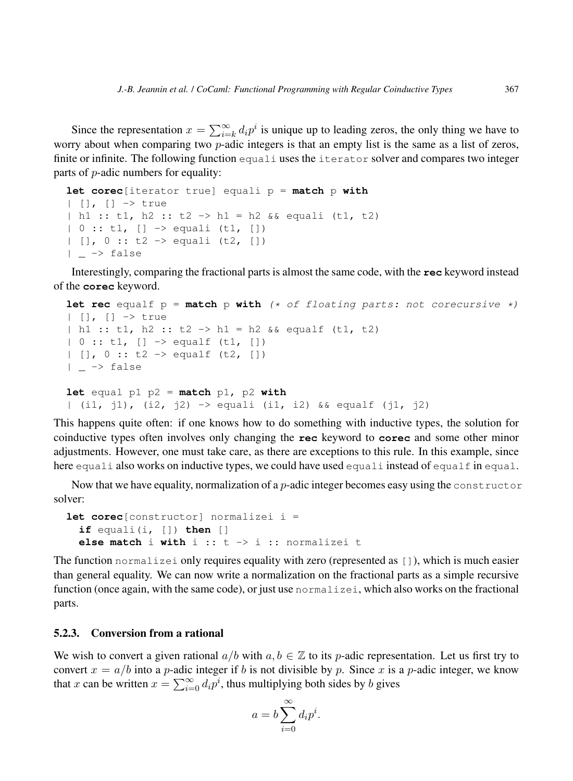Since the representation  $x = \sum_{i=k}^{\infty} d_i p^i$  is unique up to leading zeros, the only thing we have to worry about when comparing two *p*-adic integers is that an empty list is the same as a list of zeros, finite or infinite. The following function equali uses the iterator solver and compares two integer parts of p-adic numbers for equality:

```
let corec[iterator true] equali p = match p with
| [], [] -> true
| h1 :: t1, h2 :: t2 -> h1 = h2 && equali (t1, t2)
| 0 :: t1, [] -> equali (t1, [])
| [ ], 0 :: t2 -> equali (t2, [ ])
| \rightarrow false
```
Interestingly, comparing the fractional parts is almost the same code, with the **rec** keyword instead of the **corec** keyword.

```
let rec equalf p = match p with (* of floating parts: not corecursive *)
| [], [] -> true
| h1 :: t1, h2 :: t2 -> h1 = h2 && equalf (t1, t2)
| 0 :: t1, [] -> equalf (t1, [])
| [ ], 0 :: t2 -> equalf (t2, [ ])
| \rightarrow false
let equal p1 p2 = match p1, p2 with
| (i1, j1), (i2, j2) -> equali (i1, i2) && equalf (j1, j2)
```
This happens quite often: if one knows how to do something with inductive types, the solution for coinductive types often involves only changing the **rec** keyword to **corec** and some other minor adjustments. However, one must take care, as there are exceptions to this rule. In this example, since here equali also works on inductive types, we could have used equali instead of equalf in equal.

Now that we have equality, normalization of a *p*-adic integer becomes easy using the constructor solver:

```
let corec[constructor] normalizei i =
 if equali(i, []) then []
 else match i with i :: t -> i :: normalizei t
```
The function normalizei only requires equality with zero (represented as []), which is much easier than general equality. We can now write a normalization on the fractional parts as a simple recursive function (once again, with the same code), or just use normalizei, which also works on the fractional parts.

### 5.2.3. Conversion from a rational

We wish to convert a given rational  $a/b$  with  $a, b \in \mathbb{Z}$  to its p-adic representation. Let us first try to convert  $x = a/b$  into a p-adic integer if b is not divisible by p. Since x is a p-adic integer, we know that x can be written  $x = \sum_{i=0}^{\infty} d_i p^i$ , thus multiplying both sides by b gives

$$
a = b \sum_{i=0}^{\infty} d_i p^i.
$$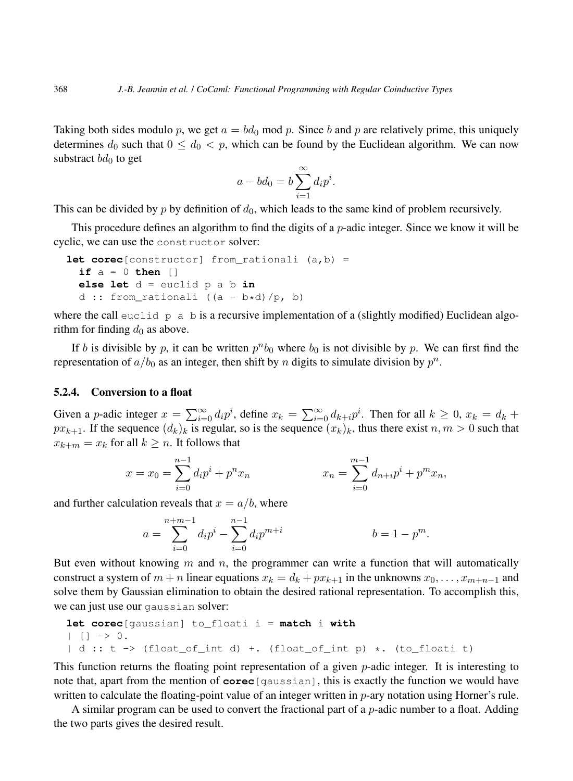Taking both sides modulo p, we get  $a = bd_0$  mod p. Since b and p are relatively prime, this uniquely determines  $d_0$  such that  $0 \leq d_0 < p$ , which can be found by the Euclidean algorithm. We can now substract  $bd_0$  to get

$$
a - bd_0 = b \sum_{i=1}^{\infty} d_i p^i.
$$

This can be divided by p by definition of  $d_0$ , which leads to the same kind of problem recursively.

This procedure defines an algorithm to find the digits of a *p*-adic integer. Since we know it will be cyclic, we can use the constructor solver:

```
let corec[constructor] from rationali (a,b) =
 if a = 0 then []
 else let d = euclid p a b in
 d :: from_rationali ((a - b*d)/p, b)
```
where the call euclid p a b is a recursive implementation of a (slightly modified) Euclidean algorithm for finding  $d_0$  as above.

If b is divisible by p, it can be written  $p^n b_0$  where  $b_0$  is not divisible by p. We can first find the representation of  $a/b_0$  as an integer, then shift by n digits to simulate division by  $p^n$ .

#### 5.2.4. Conversion to a float

Given a p-adic integer  $x = \sum_{i=0}^{\infty} d_i p^i$ , define  $x_k = \sum_{i=0}^{\infty} d_{k+i} p^i$ . Then for all  $k \ge 0$ ,  $x_k = d_k +$  $px_{k+1}$ . If the sequence  $(d_k)_k$  is regular, so is the sequence  $(x_k)_k$ , thus there exist  $n, m > 0$  such that  $x_{k+m} = x_k$  for all  $k \geq n$ . It follows that

$$
x = x_0 = \sum_{i=0}^{n-1} d_i p^i + p^n x_n \qquad x_n = \sum_{i=0}^{m-1} d_{n+i} p^i + p^m x_n,
$$

and further calculation reveals that  $x = a/b$ , where

$$
a = \sum_{i=0}^{n+m-1} d_i p^i - \sum_{i=0}^{n-1} d_i p^{m+i} \qquad b = 1 - p^m.
$$

But even without knowing  $m$  and  $n$ , the programmer can write a function that will automatically construct a system of  $m + n$  linear equations  $x_k = d_k + px_{k+1}$  in the unknowns  $x_0, \ldots, x_{m+n-1}$  and solve them by Gaussian elimination to obtain the desired rational representation. To accomplish this, we can just use our gaussian solver:

**let corec**[gaussian] to\_floati i = **match** i **with**

$$
|\quad [\quad ]\;\;\rightarrow\;\;0\,.
$$

| d :: t -> (float\_of\_int d) +. (float\_of\_int p) \*. (to\_floati t)

This function returns the floating point representation of a given  $p$ -adic integer. It is interesting to note that, apart from the mention of **corec**[gaussian], this is exactly the function we would have written to calculate the floating-point value of an integer written in p-ary notation using Horner's rule.

A similar program can be used to convert the fractional part of a  $p$ -adic number to a float. Adding the two parts gives the desired result.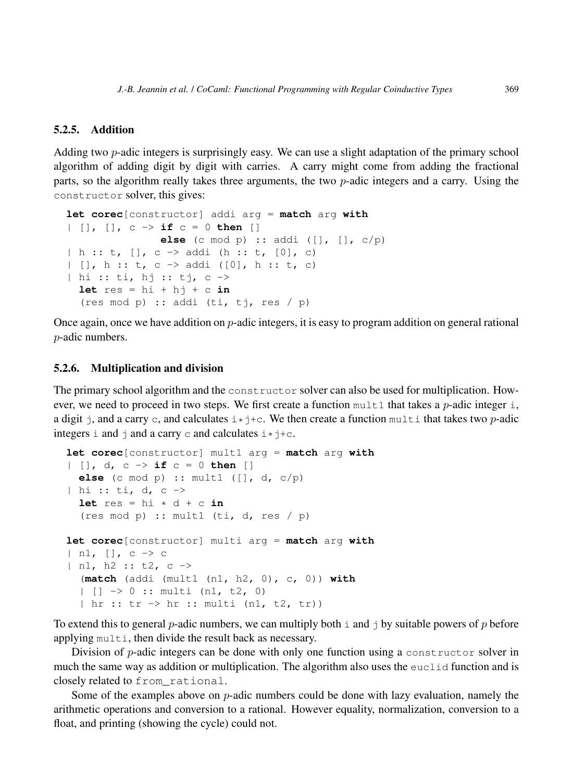#### 5.2.5. Addition

Adding two p-adic integers is surprisingly easy. We can use a slight adaptation of the primary school algorithm of adding digit by digit with carries. A carry might come from adding the fractional parts, so the algorithm really takes three arguments, the two p-adic integers and a carry. Using the constructor solver, this gives:

```
let corec[constructor] addi arg = match arg with
| [], [], c -> if c = 0 then []
              else (c mod p) :: addi ([], [], c/p)
| h :: t, [], c -> addi (h :: t, [0], c)
| [], h :: t, c -> addi ([0], h :: t, c)
| hi :: ti, hj :: tj, c ->
 let res = hi + hj + c in
  (res mod p) :: addi (ti, tj, res / p)
```
Once again, once we have addition on  $p$ -adic integers, it is easy to program addition on general rational p-adic numbers.

#### 5.2.6. Multiplication and division

The primary school algorithm and the constructor solver can also be used for multiplication. However, we need to proceed in two steps. We first create a function  $mult1$  that takes a *p*-adic integer i, a digit j, and a carry c, and calculates  $i \star j+c$ . We then create a function multi that takes two p-adic integers i and  $\dagger$  and a carry c and calculates  $i \star \dagger + c$ .

```
let corec[constructor] mult1 arg = match arg with
| [], d, c -> if c = 0 then []
  else (c mod p) :: mult1 ([], d, c/p)
| hi :: ti, d, c \rightarrowlet res = hi * d + c in(res mod p) :: mult1 (ti, d, res / p)
let corec[constructor] multi arg = match arg with
| n1, [], c -> c
| n1, h2 :: t2, c ->
  (match (addi (mult1 (n1, h2, 0), c, 0)) with
  | [ ] \rightarrow 0 : : \text{multi} (n1, t2, 0)| hr :: tr -> hr :: multi (n1, t2, tr))
```
To extend this to general *p*-adic numbers, we can multiply both  $\pm$  and  $\pm$  by suitable powers of p before applying multi, then divide the result back as necessary.

Division of  $p$ -adic integers can be done with only one function using a constructor solver in much the same way as addition or multiplication. The algorithm also uses the euclid function and is closely related to from\_rational.

Some of the examples above on  $p$ -adic numbers could be done with lazy evaluation, namely the arithmetic operations and conversion to a rational. However equality, normalization, conversion to a float, and printing (showing the cycle) could not.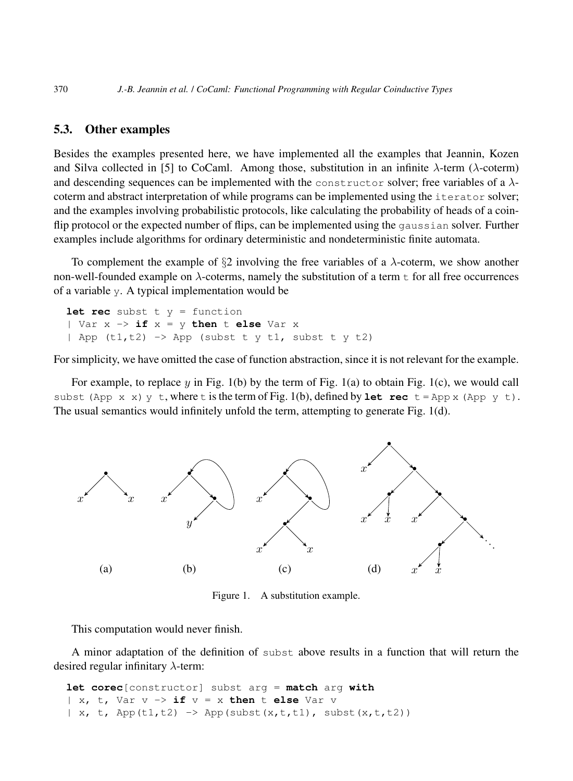## 5.3. Other examples

Besides the examples presented here, we have implemented all the examples that Jeannin, Kozen and Silva collected in [5] to CoCaml. Among those, substitution in an infinite  $\lambda$ -term ( $\lambda$ -coterm) and descending sequences can be implemented with the constructor solver; free variables of a  $\lambda$ coterm and abstract interpretation of while programs can be implemented using the iterator solver; and the examples involving probabilistic protocols, like calculating the probability of heads of a coinflip protocol or the expected number of flips, can be implemented using the gaussian solver. Further examples include algorithms for ordinary deterministic and nondeterministic finite automata.

To complement the example of  $\S2$  involving the free variables of a  $\lambda$ -coterm, we show another non-well-founded example on  $\lambda$ -coterms, namely the substitution of a term  $\pm$  for all free occurrences of a variable y. A typical implementation would be

```
let rec subst t y = function
| Var x -> if x = y then t else Var x
| App (t1,t2) -> App (subst t y t1, subst t y t2)
```
For simplicity, we have omitted the case of function abstraction, since it is not relevant for the example.

For example, to replace  $y$  in Fig. 1(b) by the term of Fig. 1(a) to obtain Fig. 1(c), we would call subst (App x x) y t, where t is the term of Fig. 1(b), defined by **let rec**  $t =$  App x (App y t). The usual semantics would infinitely unfold the term, attempting to generate Fig. 1(d).



Figure 1. A substitution example.

This computation would never finish.

A minor adaptation of the definition of subst above results in a function that will return the desired regular infinitary  $\lambda$ -term:

**let corec**[constructor] subst arg = **match** arg **with** | x, t, Var v -> **if** v = x **then** t **else** Var v  $| x, t, \text{ App}(t1, t2) \rightarrow \text{App}(subst(x, t, t1), \text{subst}(x, t, t2))$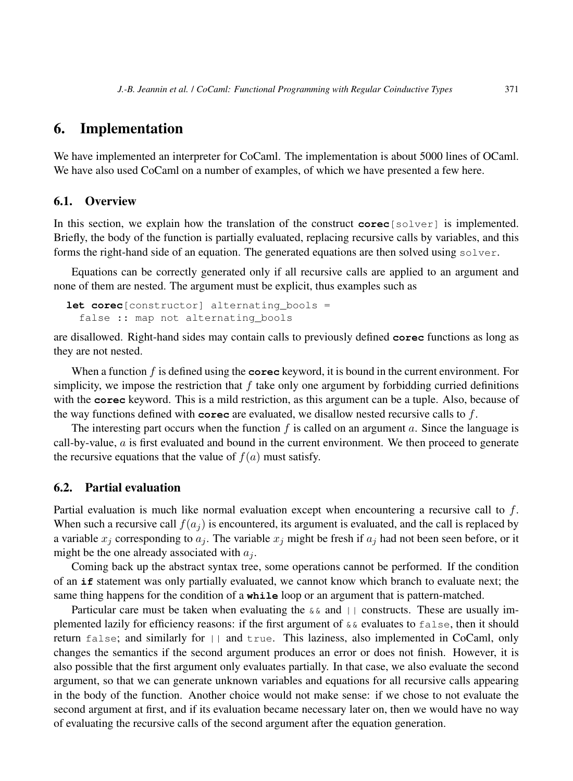# 6. Implementation

We have implemented an interpreter for CoCaml. The implementation is about 5000 lines of OCaml. We have also used CoCaml on a number of examples, of which we have presented a few here.

## 6.1. Overview

In this section, we explain how the translation of the construct **corec**[solver] is implemented. Briefly, the body of the function is partially evaluated, replacing recursive calls by variables, and this forms the right-hand side of an equation. The generated equations are then solved using solver.

Equations can be correctly generated only if all recursive calls are applied to an argument and none of them are nested. The argument must be explicit, thus examples such as

```
let corec[constructor] alternating_bools =
  false :: map not alternating bools
```
are disallowed. Right-hand sides may contain calls to previously defined **corec** functions as long as they are not nested.

When a function f is defined using the **corec** keyword, it is bound in the current environment. For simplicity, we impose the restriction that  $f$  take only one argument by forbidding curried definitions with the **corec** keyword. This is a mild restriction, as this argument can be a tuple. Also, because of the way functions defined with **corec** are evaluated, we disallow nested recursive calls to f.

The interesting part occurs when the function  $f$  is called on an argument  $a$ . Since the language is call-by-value,  $\alpha$  is first evaluated and bound in the current environment. We then proceed to generate the recursive equations that the value of  $f(a)$  must satisfy.

## 6.2. Partial evaluation

Partial evaluation is much like normal evaluation except when encountering a recursive call to  $f$ . When such a recursive call  $f(a_i)$  is encountered, its argument is evaluated, and the call is replaced by a variable  $x_j$  corresponding to  $a_j$ . The variable  $x_j$  might be fresh if  $a_j$  had not been seen before, or it might be the one already associated with  $a_i$ .

Coming back up the abstract syntax tree, some operations cannot be performed. If the condition of an **if** statement was only partially evaluated, we cannot know which branch to evaluate next; the same thing happens for the condition of a **while** loop or an argument that is pattern-matched.

Particular care must be taken when evaluating the  $\&\&$  and  $||$  constructs. These are usually implemented lazily for efficiency reasons: if the first argument of && evaluates to false, then it should return false; and similarly for || and true. This laziness, also implemented in CoCaml, only changes the semantics if the second argument produces an error or does not finish. However, it is also possible that the first argument only evaluates partially. In that case, we also evaluate the second argument, so that we can generate unknown variables and equations for all recursive calls appearing in the body of the function. Another choice would not make sense: if we chose to not evaluate the second argument at first, and if its evaluation became necessary later on, then we would have no way of evaluating the recursive calls of the second argument after the equation generation.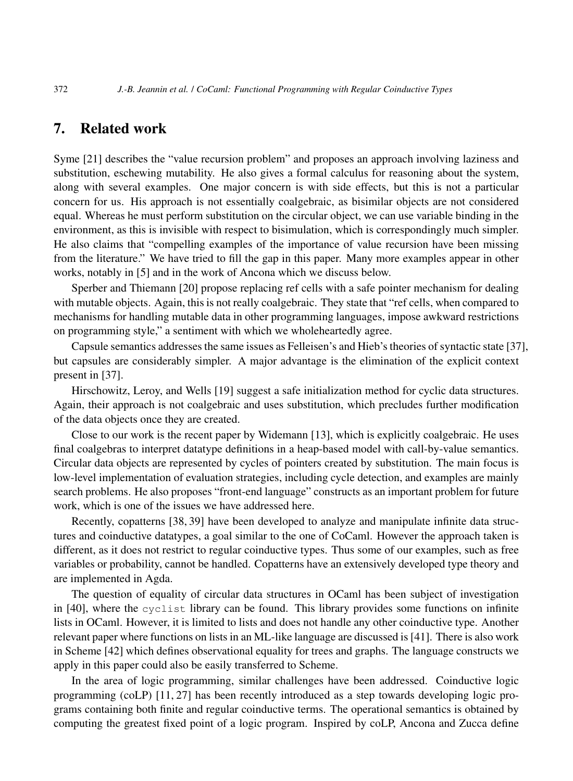## 7. Related work

Syme [21] describes the "value recursion problem" and proposes an approach involving laziness and substitution, eschewing mutability. He also gives a formal calculus for reasoning about the system, along with several examples. One major concern is with side effects, but this is not a particular concern for us. His approach is not essentially coalgebraic, as bisimilar objects are not considered equal. Whereas he must perform substitution on the circular object, we can use variable binding in the environment, as this is invisible with respect to bisimulation, which is correspondingly much simpler. He also claims that "compelling examples of the importance of value recursion have been missing from the literature." We have tried to fill the gap in this paper. Many more examples appear in other works, notably in [5] and in the work of Ancona which we discuss below.

Sperber and Thiemann [20] propose replacing ref cells with a safe pointer mechanism for dealing with mutable objects. Again, this is not really coalgebraic. They state that "ref cells, when compared to mechanisms for handling mutable data in other programming languages, impose awkward restrictions on programming style," a sentiment with which we wholeheartedly agree.

Capsule semantics addresses the same issues as Felleisen's and Hieb's theories of syntactic state [37], but capsules are considerably simpler. A major advantage is the elimination of the explicit context present in [37].

Hirschowitz, Leroy, and Wells [19] suggest a safe initialization method for cyclic data structures. Again, their approach is not coalgebraic and uses substitution, which precludes further modification of the data objects once they are created.

Close to our work is the recent paper by Widemann [13], which is explicitly coalgebraic. He uses final coalgebras to interpret datatype definitions in a heap-based model with call-by-value semantics. Circular data objects are represented by cycles of pointers created by substitution. The main focus is low-level implementation of evaluation strategies, including cycle detection, and examples are mainly search problems. He also proposes "front-end language" constructs as an important problem for future work, which is one of the issues we have addressed here.

Recently, copatterns [38, 39] have been developed to analyze and manipulate infinite data structures and coinductive datatypes, a goal similar to the one of CoCaml. However the approach taken is different, as it does not restrict to regular coinductive types. Thus some of our examples, such as free variables or probability, cannot be handled. Copatterns have an extensively developed type theory and are implemented in Agda.

The question of equality of circular data structures in OCaml has been subject of investigation in [40], where the cyclist library can be found. This library provides some functions on infinite lists in OCaml. However, it is limited to lists and does not handle any other coinductive type. Another relevant paper where functions on lists in an ML-like language are discussed is [41]. There is also work in Scheme [42] which defines observational equality for trees and graphs. The language constructs we apply in this paper could also be easily transferred to Scheme.

In the area of logic programming, similar challenges have been addressed. Coinductive logic programming (coLP) [11, 27] has been recently introduced as a step towards developing logic programs containing both finite and regular coinductive terms. The operational semantics is obtained by computing the greatest fixed point of a logic program. Inspired by coLP, Ancona and Zucca define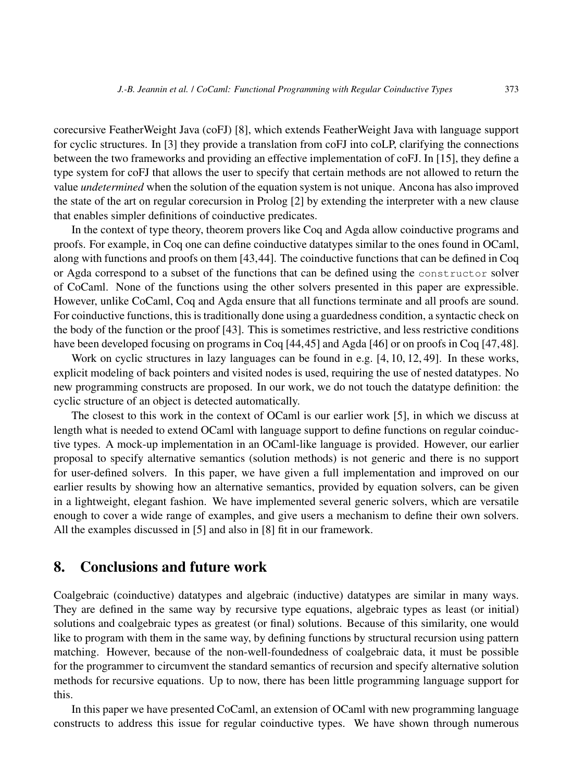corecursive FeatherWeight Java (coFJ) [8], which extends FeatherWeight Java with language support for cyclic structures. In [3] they provide a translation from coFJ into coLP, clarifying the connections between the two frameworks and providing an effective implementation of coFJ. In [15], they define a type system for coFJ that allows the user to specify that certain methods are not allowed to return the value *undetermined* when the solution of the equation system is not unique. Ancona has also improved the state of the art on regular corecursion in Prolog [2] by extending the interpreter with a new clause that enables simpler definitions of coinductive predicates.

In the context of type theory, theorem provers like Coq and Agda allow coinductive programs and proofs. For example, in Coq one can define coinductive datatypes similar to the ones found in OCaml, along with functions and proofs on them [43,44]. The coinductive functions that can be defined in Coq or Agda correspond to a subset of the functions that can be defined using the constructor solver of CoCaml. None of the functions using the other solvers presented in this paper are expressible. However, unlike CoCaml, Coq and Agda ensure that all functions terminate and all proofs are sound. For coinductive functions, this is traditionally done using a guardedness condition, a syntactic check on the body of the function or the proof [43]. This is sometimes restrictive, and less restrictive conditions have been developed focusing on programs in Coq [44,45] and Agda [46] or on proofs in Coq [47,48].

Work on cyclic structures in lazy languages can be found in e.g. [4, 10, 12, 49]. In these works, explicit modeling of back pointers and visited nodes is used, requiring the use of nested datatypes. No new programming constructs are proposed. In our work, we do not touch the datatype definition: the cyclic structure of an object is detected automatically.

The closest to this work in the context of OCaml is our earlier work [5], in which we discuss at length what is needed to extend OCaml with language support to define functions on regular coinductive types. A mock-up implementation in an OCaml-like language is provided. However, our earlier proposal to specify alternative semantics (solution methods) is not generic and there is no support for user-defined solvers. In this paper, we have given a full implementation and improved on our earlier results by showing how an alternative semantics, provided by equation solvers, can be given in a lightweight, elegant fashion. We have implemented several generic solvers, which are versatile enough to cover a wide range of examples, and give users a mechanism to define their own solvers. All the examples discussed in [5] and also in [8] fit in our framework.

# 8. Conclusions and future work

Coalgebraic (coinductive) datatypes and algebraic (inductive) datatypes are similar in many ways. They are defined in the same way by recursive type equations, algebraic types as least (or initial) solutions and coalgebraic types as greatest (or final) solutions. Because of this similarity, one would like to program with them in the same way, by defining functions by structural recursion using pattern matching. However, because of the non-well-foundedness of coalgebraic data, it must be possible for the programmer to circumvent the standard semantics of recursion and specify alternative solution methods for recursive equations. Up to now, there has been little programming language support for this.

In this paper we have presented CoCaml, an extension of OCaml with new programming language constructs to address this issue for regular coinductive types. We have shown through numerous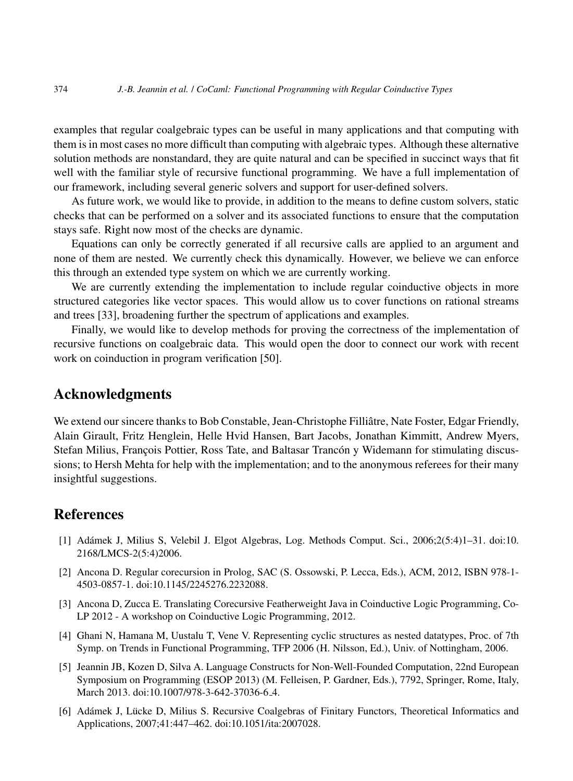examples that regular coalgebraic types can be useful in many applications and that computing with them is in most cases no more difficult than computing with algebraic types. Although these alternative solution methods are nonstandard, they are quite natural and can be specified in succinct ways that fit well with the familiar style of recursive functional programming. We have a full implementation of our framework, including several generic solvers and support for user-defined solvers.

As future work, we would like to provide, in addition to the means to define custom solvers, static checks that can be performed on a solver and its associated functions to ensure that the computation stays safe. Right now most of the checks are dynamic.

Equations can only be correctly generated if all recursive calls are applied to an argument and none of them are nested. We currently check this dynamically. However, we believe we can enforce this through an extended type system on which we are currently working.

We are currently extending the implementation to include regular coinductive objects in more structured categories like vector spaces. This would allow us to cover functions on rational streams and trees [33], broadening further the spectrum of applications and examples.

Finally, we would like to develop methods for proving the correctness of the implementation of recursive functions on coalgebraic data. This would open the door to connect our work with recent work on coinduction in program verification [50].

## Acknowledgments

We extend our sincere thanks to Bob Constable, Jean-Christophe Filliâtre, Nate Foster, Edgar Friendly, Alain Girault, Fritz Henglein, Helle Hvid Hansen, Bart Jacobs, Jonathan Kimmitt, Andrew Myers, Stefan Milius, François Pottier, Ross Tate, and Baltasar Trancón y Widemann for stimulating discussions; to Hersh Mehta for help with the implementation; and to the anonymous referees for their many insightful suggestions.

## **References**

- [1] Adamek J, Milius S, Velebil J. Elgot Algebras, Log. Methods Comput. Sci., 2006;2(5:4)1–31. doi:10. ´ 2168/LMCS-2(5:4)2006.
- [2] Ancona D. Regular corecursion in Prolog, SAC (S. Ossowski, P. Lecca, Eds.), ACM, 2012, ISBN 978-1- 4503-0857-1. doi:10.1145/2245276.2232088.
- [3] Ancona D, Zucca E. Translating Corecursive Featherweight Java in Coinductive Logic Programming, Co-LP 2012 - A workshop on Coinductive Logic Programming, 2012.
- [4] Ghani N, Hamana M, Uustalu T, Vene V. Representing cyclic structures as nested datatypes, Proc. of 7th Symp. on Trends in Functional Programming, TFP 2006 (H. Nilsson, Ed.), Univ. of Nottingham, 2006.
- [5] Jeannin JB, Kozen D, Silva A. Language Constructs for Non-Well-Founded Computation, 22nd European Symposium on Programming (ESOP 2013) (M. Felleisen, P. Gardner, Eds.), 7792, Springer, Rome, Italy, March 2013. doi:10.1007/978-3-642-37036-6<sub>-</sub>4.
- [6] Adámek J, Lücke D, Milius S. Recursive Coalgebras of Finitary Functors, Theoretical Informatics and Applications, 2007;41:447–462. doi:10.1051/ita:2007028.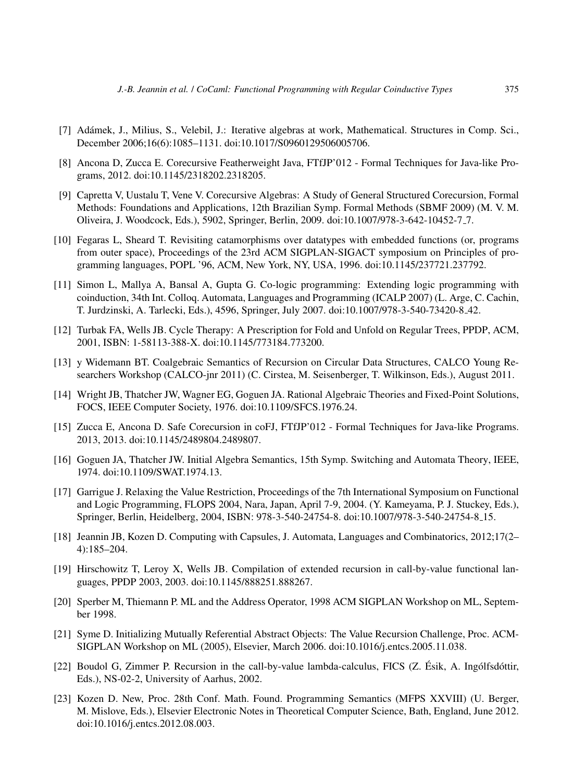- [7] Adámek, J., Milius, S., Velebil, J.: Iterative algebras at work, Mathematical. Structures in Comp. Sci., December 2006;16(6):1085–1131. doi:10.1017/S0960129506005706.
- [8] Ancona D, Zucca E. Corecursive Featherweight Java, FTfJP'012 Formal Techniques for Java-like Programs, 2012. doi:10.1145/2318202.2318205.
- [9] Capretta V, Uustalu T, Vene V. Corecursive Algebras: A Study of General Structured Corecursion, Formal Methods: Foundations and Applications, 12th Brazilian Symp. Formal Methods (SBMF 2009) (M. V. M. Oliveira, J. Woodcock, Eds.), 5902, Springer, Berlin, 2009. doi:10.1007/978-3-642-10452-7 7.
- [10] Fegaras L, Sheard T. Revisiting catamorphisms over datatypes with embedded functions (or, programs from outer space), Proceedings of the 23rd ACM SIGPLAN-SIGACT symposium on Principles of programming languages, POPL '96, ACM, New York, NY, USA, 1996. doi:10.1145/237721.237792.
- [11] Simon L, Mallya A, Bansal A, Gupta G. Co-logic programming: Extending logic programming with coinduction, 34th Int. Colloq. Automata, Languages and Programming (ICALP 2007) (L. Arge, C. Cachin, T. Jurdzinski, A. Tarlecki, Eds.), 4596, Springer, July 2007. doi:10.1007/978-3-540-73420-8 42.
- [12] Turbak FA, Wells JB. Cycle Therapy: A Prescription for Fold and Unfold on Regular Trees, PPDP, ACM, 2001, ISBN: 1-58113-388-X. doi:10.1145/773184.773200.
- [13] y Widemann BT. Coalgebraic Semantics of Recursion on Circular Data Structures, CALCO Young Researchers Workshop (CALCO-jnr 2011) (C. Cirstea, M. Seisenberger, T. Wilkinson, Eds.), August 2011.
- [14] Wright JB, Thatcher JW, Wagner EG, Goguen JA. Rational Algebraic Theories and Fixed-Point Solutions, FOCS, IEEE Computer Society, 1976. doi:10.1109/SFCS.1976.24.
- [15] Zucca E, Ancona D. Safe Corecursion in coFJ, FTfJP'012 Formal Techniques for Java-like Programs. 2013, 2013. doi:10.1145/2489804.2489807.
- [16] Goguen JA, Thatcher JW. Initial Algebra Semantics, 15th Symp. Switching and Automata Theory, IEEE, 1974. doi:10.1109/SWAT.1974.13.
- [17] Garrigue J. Relaxing the Value Restriction, Proceedings of the 7th International Symposium on Functional and Logic Programming, FLOPS 2004, Nara, Japan, April 7-9, 2004. (Y. Kameyama, P. J. Stuckey, Eds.), Springer, Berlin, Heidelberg, 2004, ISBN: 978-3-540-24754-8. doi:10.1007/978-3-540-24754-8 15.
- [18] Jeannin JB, Kozen D. Computing with Capsules, J. Automata, Languages and Combinatorics, 2012;17(2– 4):185–204.
- [19] Hirschowitz T, Leroy X, Wells JB. Compilation of extended recursion in call-by-value functional languages, PPDP 2003, 2003. doi:10.1145/888251.888267.
- [20] Sperber M, Thiemann P. ML and the Address Operator, 1998 ACM SIGPLAN Workshop on ML, September 1998.
- [21] Syme D. Initializing Mutually Referential Abstract Objects: The Value Recursion Challenge, Proc. ACM-SIGPLAN Workshop on ML (2005), Elsevier, March 2006. doi:10.1016/j.entcs.2005.11.038.
- [22] Boudol G, Zimmer P. Recursion in the call-by-value lambda-calculus, FICS  $(Z$ . Ésik, A. Ingólfsdóttir, Eds.), NS-02-2, University of Aarhus, 2002.
- [23] Kozen D. New, Proc. 28th Conf. Math. Found. Programming Semantics (MFPS XXVIII) (U. Berger, M. Mislove, Eds.), Elsevier Electronic Notes in Theoretical Computer Science, Bath, England, June 2012. doi:10.1016/j.entcs.2012.08.003.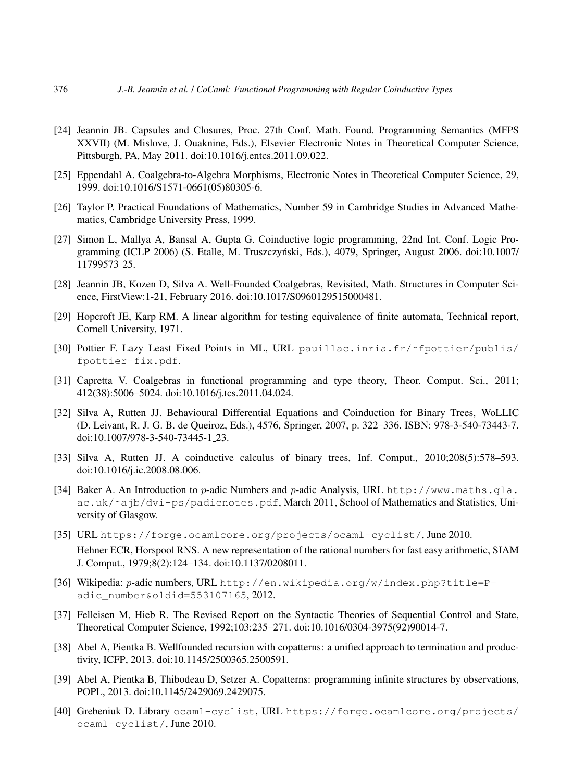- [24] Jeannin JB. Capsules and Closures, Proc. 27th Conf. Math. Found. Programming Semantics (MFPS XXVII) (M. Mislove, J. Ouaknine, Eds.), Elsevier Electronic Notes in Theoretical Computer Science, Pittsburgh, PA, May 2011. doi:10.1016/j.entcs.2011.09.022.
- [25] Eppendahl A. Coalgebra-to-Algebra Morphisms, Electronic Notes in Theoretical Computer Science, 29, 1999. doi:10.1016/S1571-0661(05)80305-6.
- [26] Taylor P. Practical Foundations of Mathematics, Number 59 in Cambridge Studies in Advanced Mathematics, Cambridge University Press, 1999.
- [27] Simon L, Mallya A, Bansal A, Gupta G. Coinductive logic programming, 22nd Int. Conf. Logic Programming (ICLP 2006) (S. Etalle, M. Truszczynski, Eds.), 4079, Springer, August 2006. doi:10.1007/ ´ 11799573 25.
- [28] Jeannin JB, Kozen D, Silva A. Well-Founded Coalgebras, Revisited, Math. Structures in Computer Science, FirstView:1-21, February 2016. doi:10.1017/S0960129515000481.
- [29] Hopcroft JE, Karp RM. A linear algorithm for testing equivalence of finite automata, Technical report, Cornell University, 1971.
- [30] Pottier F. Lazy Least Fixed Points in ML, URL pauillac.inria.fr/˜fpottier/publis/ fpottier-fix.pdf.
- [31] Capretta V. Coalgebras in functional programming and type theory, Theor. Comput. Sci., 2011; 412(38):5006–5024. doi:10.1016/j.tcs.2011.04.024.
- [32] Silva A, Rutten JJ. Behavioural Differential Equations and Coinduction for Binary Trees, WoLLIC (D. Leivant, R. J. G. B. de Queiroz, Eds.), 4576, Springer, 2007, p. 322–336. ISBN: 978-3-540-73443-7. doi:10.1007/978-3-540-73445-1 23.
- [33] Silva A, Rutten JJ. A coinductive calculus of binary trees, Inf. Comput., 2010;208(5):578–593. doi:10.1016/j.ic.2008.08.006.
- [34] Baker A. An Introduction to p-adic Numbers and p-adic Analysis, URL http://www.maths.gla. ac.uk/˜ajb/dvi-ps/padicnotes.pdf, March 2011, School of Mathematics and Statistics, University of Glasgow.
- [35] URL https://forge.ocamlcore.org/projects/ocaml-cyclist/, June 2010. Hehner ECR, Horspool RNS. A new representation of the rational numbers for fast easy arithmetic, SIAM J. Comput., 1979;8(2):124–134. doi:10.1137/0208011.
- [36] Wikipedia: p-adic numbers, URL http://en.wikipedia.org/w/index.php?title=Padic\_number&oldid=553107165, 2012.
- [37] Felleisen M, Hieb R. The Revised Report on the Syntactic Theories of Sequential Control and State, Theoretical Computer Science, 1992;103:235–271. doi:10.1016/0304-3975(92)90014-7.
- [38] Abel A, Pientka B. Wellfounded recursion with copatterns: a unified approach to termination and productivity, ICFP, 2013. doi:10.1145/2500365.2500591.
- [39] Abel A, Pientka B, Thibodeau D, Setzer A. Copatterns: programming infinite structures by observations, POPL, 2013. doi:10.1145/2429069.2429075.
- [40] Grebeniuk D. Library ocaml-cyclist, URL https://forge.ocamlcore.org/projects/ ocaml-cyclist/, June 2010.